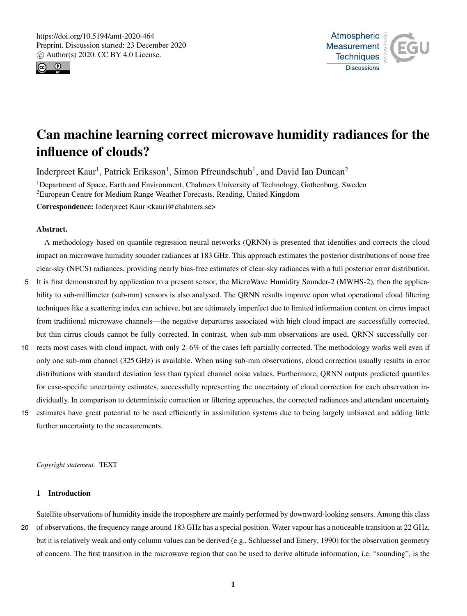



# Can machine learning correct microwave humidity radiances for the influence of clouds?

Inderpreet Kaur<sup>1</sup>, Patrick Eriksson<sup>1</sup>, Simon Pfreundschuh<sup>1</sup>, and David Ian Duncan<sup>2</sup>

<sup>1</sup>Department of Space, Earth and Environment, Chalmers University of Technology, Gothenburg, Sweden <sup>2</sup>European Centre for Medium Range Weather Forecasts, Reading, United Kingdom

Correspondence: Inderpreet Kaur <kauri@chalmers.se>

## Abstract.

A methodology based on quantile regression neural networks (QRNN) is presented that identifies and corrects the cloud impact on microwave humidity sounder radiances at 183 GHz. This approach estimates the posterior distributions of noise free clear-sky (NFCS) radiances, providing nearly bias-free estimates of clear-sky radiances with a full posterior error distribution.

- 5 It is first demonstrated by application to a present sensor, the MicroWave Humidity Sounder-2 (MWHS-2), then the applicability to sub-millimeter (sub-mm) sensors is also analysed. The QRNN results improve upon what operational cloud filtering techniques like a scattering index can achieve, but are ultimately imperfect due to limited information content on cirrus impact from traditional microwave channels—the negative departures associated with high cloud impact are successfully corrected, but thin cirrus clouds cannot be fully corrected. In contrast, when sub-mm observations are used, QRNN successfully cor-
- 10 rects most cases with cloud impact, with only 2–6% of the cases left partially corrected. The methodology works well even if only one sub-mm channel (325 GHz) is available. When using sub-mm observations, cloud correction usually results in error distributions with standard deviation less than typical channel noise values. Furthermore, QRNN outputs predicted quantiles for case-specific uncertainty estimates, successfully representing the uncertainty of cloud correction for each observation individually. In comparison to deterministic correction or filtering approaches, the corrected radiances and attendant uncertainty
- 15 estimates have great potential to be used efficiently in assimilation systems due to being largely unbiased and adding little further uncertainty to the measurements.

*Copyright statement.* TEXT

# 1 Introduction

Satellite observations of humidity inside the troposphere are mainly performed by downward-looking sensors. Among this class 20 of observations, the frequency range around 183 GHz has a special position. Water vapour has a noticeable transition at 22 GHz, but it is relatively weak and only column values can be derived (e.g., Schluessel and Emery, 1990) for the observation geometry of concern. The first transition in the microwave region that can be used to derive altitude information, i.e. "sounding", is the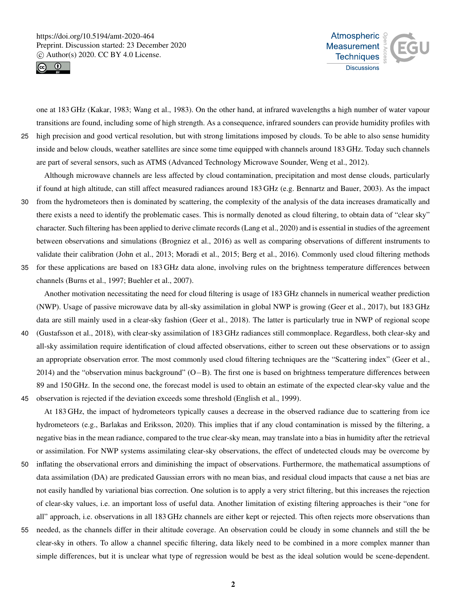



one at 183 GHz (Kakar, 1983; Wang et al., 1983). On the other hand, at infrared wavelengths a high number of water vapour transitions are found, including some of high strength. As a consequence, infrared sounders can provide humidity profiles with 25 high precision and good vertical resolution, but with strong limitations imposed by clouds. To be able to also sense humidity inside and below clouds, weather satellites are since some time equipped with channels around 183 GHz. Today such channels are part of several sensors, such as ATMS (Advanced Technology Microwave Sounder, Weng et al., 2012).

Although microwave channels are less affected by cloud contamination, precipitation and most dense clouds, particularly if found at high altitude, can still affect measured radiances around 183 GHz (e.g. Bennartz and Bauer, 2003). As the impact

- 30 from the hydrometeors then is dominated by scattering, the complexity of the analysis of the data increases dramatically and there exists a need to identify the problematic cases. This is normally denoted as cloud filtering, to obtain data of "clear sky" character. Such filtering has been applied to derive climate records (Lang et al., 2020) and is essential in studies of the agreement between observations and simulations (Brogniez et al., 2016) as well as comparing observations of different instruments to validate their calibration (John et al., 2013; Moradi et al., 2015; Berg et al., 2016). Commonly used cloud filtering methods
- 35 for these applications are based on 183 GHz data alone, involving rules on the brightness temperature differences between channels (Burns et al., 1997; Buehler et al., 2007).

Another motivation necessitating the need for cloud filtering is usage of 183 GHz channels in numerical weather prediction (NWP). Usage of passive microwave data by all-sky assimilation in global NWP is growing (Geer et al., 2017), but 183 GHz data are still mainly used in a clear-sky fashion (Geer et al., 2018). The latter is particularly true in NWP of regional scope

40 (Gustafsson et al., 2018), with clear-sky assimilation of 183 GHz radiances still commonplace. Regardless, both clear-sky and all-sky assimilation require identification of cloud affected observations, either to screen out these observations or to assign an appropriate observation error. The most commonly used cloud filtering techniques are the "Scattering index" (Geer et al., 2014) and the "observation minus background" (O−B). The first one is based on brightness temperature differences between 89 and 150 GHz. In the second one, the forecast model is used to obtain an estimate of the expected clear-sky value and the 45 observation is rejected if the deviation exceeds some threshold (English et al., 1999).

At 183 GHz, the impact of hydrometeors typically causes a decrease in the observed radiance due to scattering from ice hydrometeors (e.g., Barlakas and Eriksson, 2020). This implies that if any cloud contamination is missed by the filtering, a negative bias in the mean radiance, compared to the true clear-sky mean, may translate into a bias in humidity after the retrieval or assimilation. For NWP systems assimilating clear-sky observations, the effect of undetected clouds may be overcome by

- 50 inflating the observational errors and diminishing the impact of observations. Furthermore, the mathematical assumptions of data assimilation (DA) are predicated Gaussian errors with no mean bias, and residual cloud impacts that cause a net bias are not easily handled by variational bias correction. One solution is to apply a very strict filtering, but this increases the rejection of clear-sky values, i.e. an important loss of useful data. Another limitation of existing filtering approaches is their "one for all" approach, i.e. observations in all 183 GHz channels are either kept or rejected. This often rejects more observations than
- 55 needed, as the channels differ in their altitude coverage. An observation could be cloudy in some channels and still the be clear-sky in others. To allow a channel specific filtering, data likely need to be combined in a more complex manner than simple differences, but it is unclear what type of regression would be best as the ideal solution would be scene-dependent.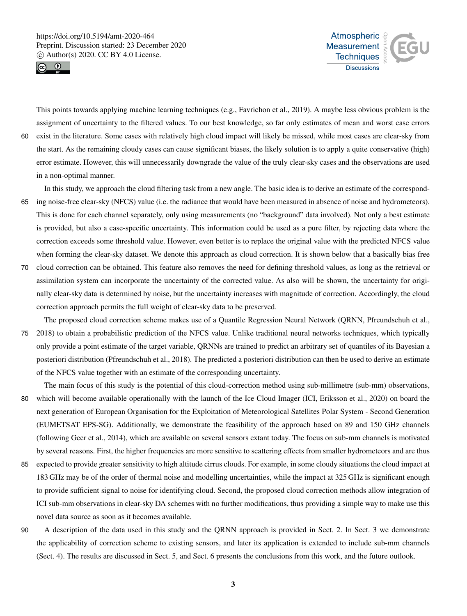



This points towards applying machine learning techniques (e.g., Favrichon et al., 2019). A maybe less obvious problem is the assignment of uncertainty to the filtered values. To our best knowledge, so far only estimates of mean and worst case errors 60 exist in the literature. Some cases with relatively high cloud impact will likely be missed, while most cases are clear-sky from the start. As the remaining cloudy cases can cause significant biases, the likely solution is to apply a quite conservative (high) error estimate. However, this will unnecessarily downgrade the value of the truly clear-sky cases and the observations are used

in a non-optimal manner.

In this study, we approach the cloud filtering task from a new angle. The basic idea is to derive an estimate of the correspond-65 ing noise-free clear-sky (NFCS) value (i.e. the radiance that would have been measured in absence of noise and hydrometeors). This is done for each channel separately, only using measurements (no "background" data involved). Not only a best estimate is provided, but also a case-specific uncertainty. This information could be used as a pure filter, by rejecting data where the correction exceeds some threshold value. However, even better is to replace the original value with the predicted NFCS value when forming the clear-sky dataset. We denote this approach as cloud correction. It is shown below that a basically bias free

70 cloud correction can be obtained. This feature also removes the need for defining threshold values, as long as the retrieval or assimilation system can incorporate the uncertainty of the corrected value. As also will be shown, the uncertainty for originally clear-sky data is determined by noise, but the uncertainty increases with magnitude of correction. Accordingly, the cloud correction approach permits the full weight of clear-sky data to be preserved.

The proposed cloud correction scheme makes use of a Quantile Regression Neural Network (QRNN, Pfreundschuh et al., 75 2018) to obtain a probabilistic prediction of the NFCS value. Unlike traditional neural networks techniques, which typically only provide a point estimate of the target variable, QRNNs are trained to predict an arbitrary set of quantiles of its Bayesian a posteriori distribution (Pfreundschuh et al., 2018). The predicted a posteriori distribution can then be used to derive an estimate of the NFCS value together with an estimate of the corresponding uncertainty.

The main focus of this study is the potential of this cloud-correction method using sub-millimetre (sub-mm) observations, 80 which will become available operationally with the launch of the Ice Cloud Imager (ICI, Eriksson et al., 2020) on board the next generation of European Organisation for the Exploitation of Meteorological Satellites Polar System - Second Generation (EUMETSAT EPS-SG). Additionally, we demonstrate the feasibility of the approach based on 89 and 150 GHz channels (following Geer et al., 2014), which are available on several sensors extant today. The focus on sub-mm channels is motivated by several reasons. First, the higher frequencies are more sensitive to scattering effects from smaller hydrometeors and are thus

- 85 expected to provide greater sensitivity to high altitude cirrus clouds. For example, in some cloudy situations the cloud impact at 183 GHz may be of the order of thermal noise and modelling uncertainties, while the impact at 325 GHz is significant enough to provide sufficient signal to noise for identifying cloud. Second, the proposed cloud correction methods allow integration of ICI sub-mm observations in clear-sky DA schemes with no further modifications, thus providing a simple way to make use this novel data source as soon as it becomes available.
- 90 A description of the data used in this study and the QRNN approach is provided in Sect. 2. In Sect. 3 we demonstrate the applicability of correction scheme to existing sensors, and later its application is extended to include sub-mm channels (Sect. 4). The results are discussed in Sect. 5, and Sect. 6 presents the conclusions from this work, and the future outlook.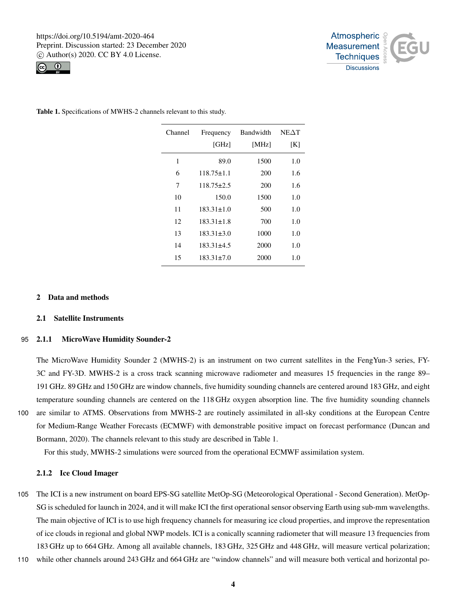



| Channel | Frequency<br>[GHz] | Bandwidth<br>[MHz] | $NE\Delta T$<br>[K] |
|---------|--------------------|--------------------|---------------------|
| 1       | 89.0               | 1500               | 1.0                 |
| 6       | $118.75 \pm 1.1$   | 200                | 1.6                 |
| 7       | $118.75 \pm 2.5$   | 200                | 1.6                 |
| 10      | 150.0              | 1500               | 1.0                 |
| 11      | $183.31 \pm 1.0$   | 500                | 1.0                 |
| 12      | $183.31 \pm 1.8$   | 700                | 1.0                 |
| 13      | $183.31 \pm 3.0$   | 1000               | 1.0                 |
| 14      | $183.31 \pm 4.5$   | 2000               | 1.0                 |
| 15      | $183.31 \pm 7.0$   | 2000               | 1.0                 |
|         |                    |                    |                     |

Table 1. Specifications of MWHS-2 channels relevant to this study.

# 2 Data and methods

## 2.1 Satellite Instruments

#### 95 2.1.1 MicroWave Humidity Sounder-2

The MicroWave Humidity Sounder 2 (MWHS-2) is an instrument on two current satellites in the FengYun-3 series, FY-3C and FY-3D. MWHS-2 is a cross track scanning microwave radiometer and measures 15 frequencies in the range 89– 191 GHz. 89 GHz and 150 GHz are window channels, five humidity sounding channels are centered around 183 GHz, and eight temperature sounding channels are centered on the 118 GHz oxygen absorption line. The five humidity sounding channels

100 are similar to ATMS. Observations from MWHS-2 are routinely assimilated in all-sky conditions at the European Centre for Medium-Range Weather Forecasts (ECMWF) with demonstrable positive impact on forecast performance (Duncan and Bormann, 2020). The channels relevant to this study are described in Table 1.

For this study, MWHS-2 simulations were sourced from the operational ECMWF assimilation system.

## 2.1.2 Ice Cloud Imager

- 105 The ICI is a new instrument on board EPS-SG satellite MetOp-SG (Meteorological Operational Second Generation). MetOp-SG is scheduled for launch in 2024, and it will make ICI the first operational sensor observing Earth using sub-mm wavelengths. The main objective of ICI is to use high frequency channels for measuring ice cloud properties, and improve the representation of ice clouds in regional and global NWP models. ICI is a conically scanning radiometer that will measure 13 frequencies from 183 GHz up to 664 GHz. Among all available channels, 183 GHz, 325 GHz and 448 GHz, will measure vertical polarization;
- 110 while other channels around 243 GHz and 664 GHz are "window channels" and will measure both vertical and horizontal po-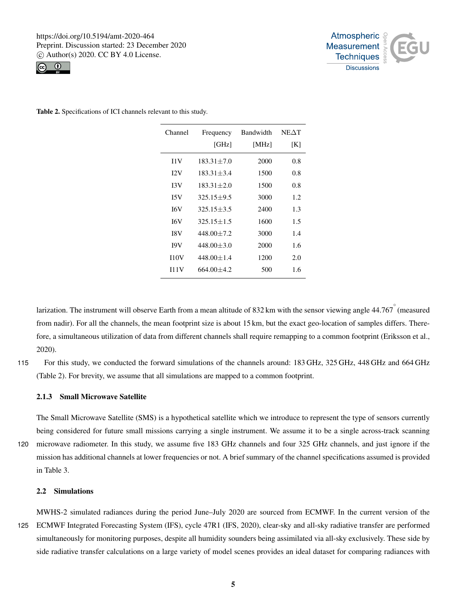



Table 2. Specifications of ICI channels relevant to this study.

| Channel          | Frequency        | <b>Bandwidth</b> | $NE\Delta T$ |
|------------------|------------------|------------------|--------------|
|                  | [GHz]            | [MHz]            | [K]          |
| 11V              | $183.31 + 7.0$   | 2000             | 0.8          |
| I <sub>2</sub> V | $183.31 + 3.4$   | 1500             | 0.8          |
| 13V              | $183.31 + 2.0$   | 1500             | 0.8          |
| 15V              | $325.15 + 9.5$   | 3000             | 1.2          |
| I6V              | $325.15 \pm 3.5$ | 2400             | 1.3          |
| I6V              | $325.15 + 1.5$   | 1600             | 1.5          |
| I8V              | $448.00 + 7.2$   | 3000             | 1.4          |
| <b>I9V</b>       | $448.00 + 3.0$   | 2000             | 1.6          |
| 110V             | $448.00 + 1.4$   | 1200             | 2.0          |
| 111V             | $664.00 + 4.2$   | 500              | 1.6          |

larization. The instrument will observe Earth from a mean altitude of 832 km with the sensor viewing angle  $44.767$  (measured from nadir). For all the channels, the mean footprint size is about 15 km, but the exact geo-location of samples differs. Therefore, a simultaneous utilization of data from different channels shall require remapping to a common footprint (Eriksson et al., 2020).

115 For this study, we conducted the forward simulations of the channels around: 183 GHz, 325 GHz, 448 GHz and 664 GHz (Table 2). For brevity, we assume that all simulations are mapped to a common footprint.

## 2.1.3 Small Microwave Satellite

The Small Microwave Satellite (SMS) is a hypothetical satellite which we introduce to represent the type of sensors currently being considered for future small missions carrying a single instrument. We assume it to be a single across-track scanning 120 microwave radiometer. In this study, we assume five 183 GHz channels and four 325 GHz channels, and just ignore if the

mission has additional channels at lower frequencies or not. A brief summary of the channel specifications assumed is provided in Table 3.

# 2.2 Simulations

MWHS-2 simulated radiances during the period June–July 2020 are sourced from ECMWF. In the current version of the 125 ECMWF Integrated Forecasting System (IFS), cycle 47R1 (IFS, 2020), clear-sky and all-sky radiative transfer are performed simultaneously for monitoring purposes, despite all humidity sounders being assimilated via all-sky exclusively. These side by side radiative transfer calculations on a large variety of model scenes provides an ideal dataset for comparing radiances with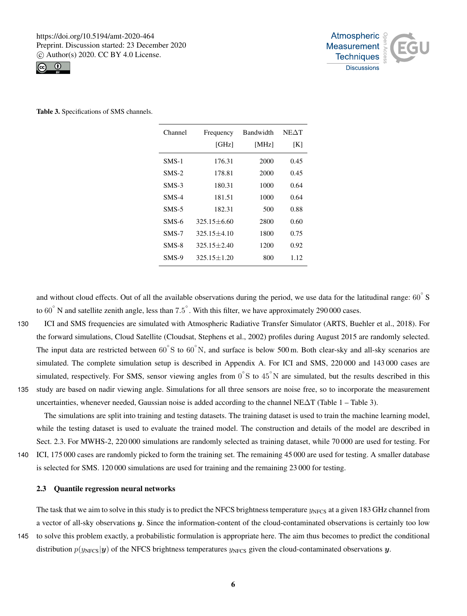



| Table 3. Specifications of SMS channels. |  |  |
|------------------------------------------|--|--|
|------------------------------------------|--|--|

| Channel | Frequency       | <b>Bandwidth</b> | $NE\Delta T$ |
|---------|-----------------|------------------|--------------|
|         | [GHz]           | [MHz]            | [K]          |
| SMS-1   | 176.31          | 2000             | 0.45         |
| $SMS-2$ | 178.81          | 2000             | 0.45         |
| $SMS-3$ | 180.31          | 1000             | 0.64         |
| SMS-4   | 181.51          | 1000             | 0.64         |
| $SMS-5$ | 182.31          | 500              | 0.88         |
| SMS-6   | $325.15 + 6.60$ | 2800             | 0.60         |
| SMS-7   | $325.15 + 4.10$ | 1800             | 0.75         |
| SMS-8   | $325.15 + 2.40$ | 1200             | 0.92         |
| SMS-9   | $325.15 + 1.20$ | 800              | 1.12         |

and without cloud effects. Out of all the available observations during the period, we use data for the latitudinal range:  $60°$  S to 60 $\degree$  N and satellite zenith angle, less than 7.5 $\degree$ . With this filter, we have approximately 290 000 cases.

130 ICI and SMS frequencies are simulated with Atmospheric Radiative Transfer Simulator (ARTS, Buehler et al., 2018). For the forward simulations, Cloud Satellite (Cloudsat, Stephens et al., 2002) profiles during August 2015 are randomly selected. The input data are restricted between  $60°S$  to  $60°N$ , and surface is below 500 m. Both clear-sky and all-sky scenarios are simulated. The complete simulation setup is described in Appendix A. For ICI and SMS, 220 000 and 143 000 cases are simulated, respectively. For SMS, sensor viewing angles from  $0^{\circ}$ S to  $45^{\circ}$ N are simulated, but the results described in this 135 study are based on nadir viewing angle. Simulations for all three sensors are noise free, so to incorporate the measurement uncertainties, whenever needed, Gaussian noise is added according to the channel NE∆T (Table 1 – Table 3).

The simulations are split into training and testing datasets. The training dataset is used to train the machine learning model, while the testing dataset is used to evaluate the trained model. The construction and details of the model are described in Sect. 2.3. For MWHS-2, 220 000 simulations are randomly selected as training dataset, while 70 000 are used for testing. For 140 ICI, 175 000 cases are randomly picked to form the training set. The remaining 45 000 are used for testing. A smaller database

is selected for SMS. 120 000 simulations are used for training and the remaining 23 000 for testing.

# 2.3 Quantile regression neural networks

The task that we aim to solve in this study is to predict the NFCS brightness temperature  $y<sub>NFCS</sub>$  at a given 183 GHz channel from a vector of all-sky observations y. Since the information-content of the cloud-contaminated observations is certainly too low 145 to solve this problem exactly, a probabilistic formulation is appropriate here. The aim thus becomes to predict the conditional distribution  $p(y_{\text{NFCS}}|y)$  of the NFCS brightness temperatures  $y_{\text{NFCS}}$  given the cloud-contaminated observations y.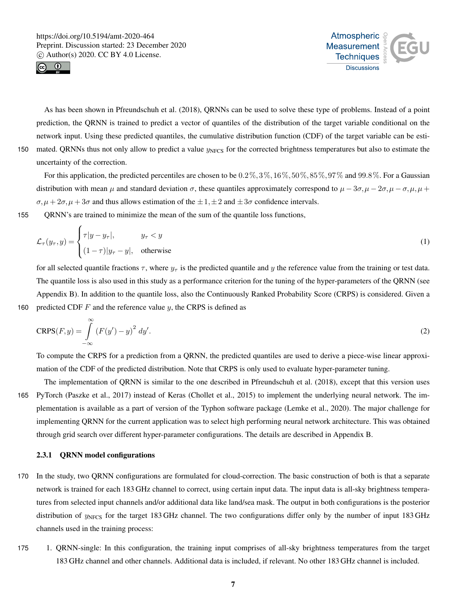

 $\epsilon$ 



As has been shown in Pfreundschuh et al. (2018), QRNNs can be used to solve these type of problems. Instead of a point prediction, the QRNN is trained to predict a vector of quantiles of the distribution of the target variable conditional on the network input. Using these predicted quantiles, the cumulative distribution function (CDF) of the target variable can be esti-150 mated. QRNNs thus not only allow to predict a value  $y<sub>NFCS</sub>$  for the corrected brightness temperatures but also to estimate the uncertainty of the correction.

For this application, the predicted percentiles are chosen to be  $0.2\%, 3\%, 16\%, 50\%, 85\%, 97\%$  and  $99.8\%$ . For a Gaussian distribution with mean  $\mu$  and standard deviation  $\sigma$ , these quantiles approximately correspond to  $\mu - 3\sigma$ ,  $\mu - 2\sigma$ ,  $\mu - \sigma$ ,  $\mu$ ,  $\mu$  +  $\sigma, \mu + 2\sigma, \mu + 3\sigma$  and thus allows estimation of the  $\pm 1, \pm 2$  and  $\pm 3\sigma$  confidence intervals.

155 QRNN's are trained to minimize the mean of the sum of the quantile loss functions,

$$
\mathcal{L}_{\tau}(y_{\tau}, y) = \begin{cases} \tau |y - y_{\tau}|, & y_{\tau} < y \\ (1 - \tau) |y_{\tau} - y|, & \text{otherwise} \end{cases}
$$
(1)

for all selected quantile fractions  $\tau$ , where  $y_\tau$  is the predicted quantile and y the reference value from the training or test data. The quantile loss is also used in this study as a performance criterion for the tuning of the hyper-parameters of the QRNN (see Appendix B). In addition to the quantile loss, also the Continuously Ranked Probability Score (CRPS) is considered. Given a 160 predicted CDF  $F$  and the reference value  $y$ , the CRPS is defined as

$$
CRPS(F, y) = \int_{-\infty}^{\infty} \left( F(y') - y \right)^2 dy'.
$$
 (2)

To compute the CRPS for a prediction from a QRNN, the predicted quantiles are used to derive a piece-wise linear approximation of the CDF of the predicted distribution. Note that CRPS is only used to evaluate hyper-parameter tuning.

The implementation of QRNN is similar to the one described in Pfreundschuh et al. (2018), except that this version uses 165 PyTorch (Paszke et al., 2017) instead of Keras (Chollet et al., 2015) to implement the underlying neural network. The implementation is available as a part of version of the Typhon software package (Lemke et al., 2020). The major challenge for implementing QRNN for the current application was to select high performing neural network architecture. This was obtained through grid search over different hyper-parameter configurations. The details are described in Appendix B.

# 2.3.1 QRNN model configurations

- 170 In the study, two QRNN configurations are formulated for cloud-correction. The basic construction of both is that a separate network is trained for each 183 GHz channel to correct, using certain input data. The input data is all-sky brightness temperatures from selected input channels and/or additional data like land/sea mask. The output in both configurations is the posterior distribution of  $y<sub>NFCS</sub>$  for the target 183 GHz channel. The two configurations differ only by the number of input 183 GHz channels used in the training process:
- 175 1. QRNN-single: In this configuration, the training input comprises of all-sky brightness temperatures from the target 183 GHz channel and other channels. Additional data is included, if relevant. No other 183 GHz channel is included.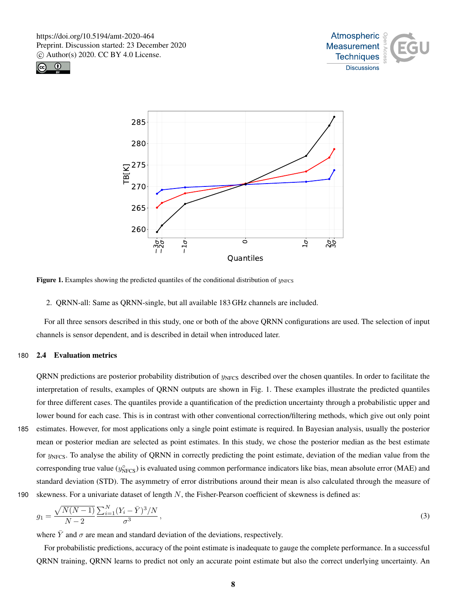





**Figure 1.** Examples showing the predicted quantiles of the conditional distribution of  $y_{NFCS}$ 

2. QRNN-all: Same as QRNN-single, but all available 183 GHz channels are included.

For all three sensors described in this study, one or both of the above QRNN configurations are used. The selection of input channels is sensor dependent, and is described in detail when introduced later.

## 180 2.4 Evaluation metrics

QRNN predictions are posterior probability distribution of  $y<sub>NFCS</sub>$  described over the chosen quantiles. In order to facilitate the interpretation of results, examples of QRNN outputs are shown in Fig. 1. These examples illustrate the predicted quantiles for three different cases. The quantiles provide a quantification of the prediction uncertainty through a probabilistic upper and lower bound for each case. This is in contrast with other conventional correction/filtering methods, which give out only point 185 estimates. However, for most applications only a single point estimate is required. In Bayesian analysis, usually the posterior mean or posterior median are selected as point estimates. In this study, we chose the posterior median as the best estimate for  $y_{NFCS}$ . To analyse the ability of QRNN in correctly predicting the point estimate, deviation of the median value from the corresponding true value ( $y_{\text{NFCS}}^{\circ}$ ) is evaluated using common performance indicators like bias, mean absolute error (MAE) and standard deviation (STD). The asymmetry of error distributions around their mean is also calculated through the measure of 190 skewness. For a univariate dataset of length  $N$ , the Fisher-Pearson coefficient of skewness is defined as:

$$
g_1 = \frac{\sqrt{N(N-1)}}{N-2} \frac{\sum_{i=1}^{N} (Y_i - \bar{Y})^3 / N}{\sigma^3},\tag{3}
$$

where  $\bar{Y}$  and  $\sigma$  are mean and standard deviation of the deviations, respectively.

For probabilistic predictions, accuracy of the point estimate is inadequate to gauge the complete performance. In a successful QRNN training, QRNN learns to predict not only an accurate point estimate but also the correct underlying uncertainty. An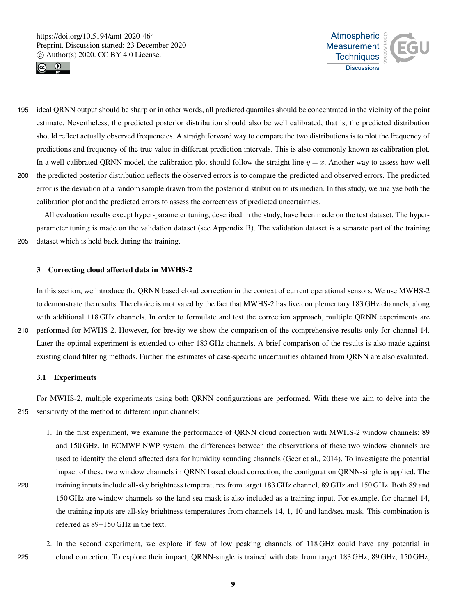



- 195 ideal QRNN output should be sharp or in other words, all predicted quantiles should be concentrated in the vicinity of the point estimate. Nevertheless, the predicted posterior distribution should also be well calibrated, that is, the predicted distribution should reflect actually observed frequencies. A straightforward way to compare the two distributions is to plot the frequency of predictions and frequency of the true value in different prediction intervals. This is also commonly known as calibration plot. In a well-calibrated QRNN model, the calibration plot should follow the straight line  $y = x$ . Another way to assess how well 200 the predicted posterior distribution reflects the observed errors is to compare the predicted and observed errors. The predicted
- error is the deviation of a random sample drawn from the posterior distribution to its median. In this study, we analyse both the calibration plot and the predicted errors to assess the correctness of predicted uncertainties.

All evaluation results except hyper-parameter tuning, described in the study, have been made on the test dataset. The hyperparameter tuning is made on the validation dataset (see Appendix B). The validation dataset is a separate part of the training 205 dataset which is held back during the training.

## 3 Correcting cloud affected data in MWHS-2

In this section, we introduce the QRNN based cloud correction in the context of current operational sensors. We use MWHS-2 to demonstrate the results. The choice is motivated by the fact that MWHS-2 has five complementary 183 GHz channels, along with additional 118 GHz channels. In order to formulate and test the correction approach, multiple QRNN experiments are 210 performed for MWHS-2. However, for brevity we show the comparison of the comprehensive results only for channel 14. Later the optimal experiment is extended to other 183 GHz channels. A brief comparison of the results is also made against

existing cloud filtering methods. Further, the estimates of case-specific uncertainties obtained from QRNN are also evaluated.

# 3.1 Experiments

For MWHS-2, multiple experiments using both QRNN configurations are performed. With these we aim to delve into the 215 sensitivity of the method to different input channels:

- 1. In the first experiment, we examine the performance of QRNN cloud correction with MWHS-2 window channels: 89 and 150 GHz. In ECMWF NWP system, the differences between the observations of these two window channels are used to identify the cloud affected data for humidity sounding channels (Geer et al., 2014). To investigate the potential impact of these two window channels in QRNN based cloud correction, the configuration QRNN-single is applied. The 220 training inputs include all-sky brightness temperatures from target 183 GHz channel, 89 GHz and 150 GHz. Both 89 and 150 GHz are window channels so the land sea mask is also included as a training input. For example, for channel 14, the training inputs are all-sky brightness temperatures from channels 14, 1, 10 and land/sea mask. This combination is referred as 89+150 GHz in the text.
- 2. In the second experiment, we explore if few of low peaking channels of 118 GHz could have any potential in 225 cloud correction. To explore their impact, QRNN-single is trained with data from target 183 GHz, 89 GHz, 150 GHz,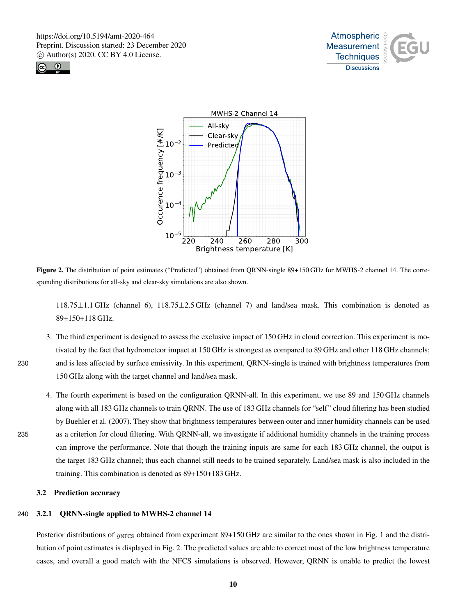





Figure 2. The distribution of point estimates ("Predicted") obtained from QRNN-single 89+150 GHz for MWHS-2 channel 14. The corresponding distributions for all-sky and clear-sky simulations are also shown.

118.75±1.1 GHz (channel 6), 118.75±2.5 GHz (channel 7) and land/sea mask. This combination is denoted as 89+150+118 GHz.

- 3. The third experiment is designed to assess the exclusive impact of 150 GHz in cloud correction. This experiment is motivated by the fact that hydrometeor impact at 150 GHz is strongest as compared to 89 GHz and other 118 GHz channels; 230 and is less affected by surface emissivity. In this experiment, QRNN-single is trained with brightness temperatures from 150 GHz along with the target channel and land/sea mask.
- 4. The fourth experiment is based on the configuration QRNN-all. In this experiment, we use 89 and 150 GHz channels along with all 183 GHz channels to train QRNN. The use of 183 GHz channels for "self" cloud filtering has been studied by Buehler et al. (2007). They show that brightness temperatures between outer and inner humidity channels can be used 235 as a criterion for cloud filtering. With QRNN-all, we investigate if additional humidity channels in the training process can improve the performance. Note that though the training inputs are same for each 183 GHz channel, the output is the target 183 GHz channel; thus each channel still needs to be trained separately. Land/sea mask is also included in the training. This combination is denoted as 89+150+183 GHz.

# 3.2 Prediction accuracy

# 240 3.2.1 QRNN-single applied to MWHS-2 channel 14

Posterior distributions of  $y_{NFCS}$  obtained from experiment 89+150 GHz are similar to the ones shown in Fig. 1 and the distribution of point estimates is displayed in Fig. 2. The predicted values are able to correct most of the low brightness temperature cases, and overall a good match with the NFCS simulations is observed. However, QRNN is unable to predict the lowest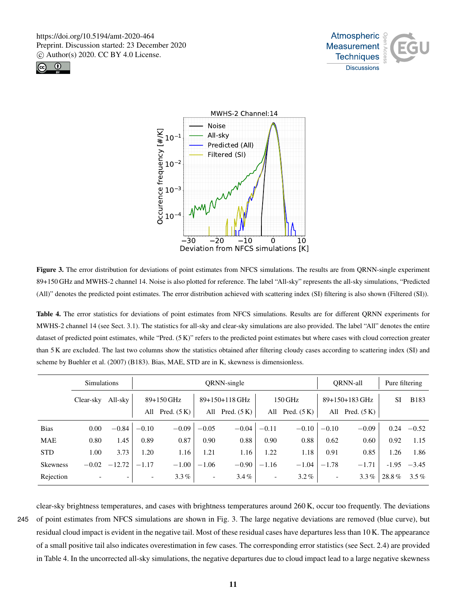





Figure 3. The error distribution for deviations of point estimates from NFCS simulations. The results are from QRNN-single experiment 89+150 GHz and MWHS-2 channel 14. Noise is also plotted for reference. The label "All-sky" represents the all-sky simulations, "Predicted (All)" denotes the predicted point estimates. The error distribution achieved with scattering index (SI) filtering is also shown (Filtered (SI)).

Table 4. The error statistics for deviations of point estimates from NFCS simulations. Results are for different QRNN experiments for MWHS-2 channel 14 (see Sect. 3.1). The statistics for all-sky and clear-sky simulations are also provided. The label "All" denotes the entire dataset of predicted point estimates, while "Pred. (5 K)" refers to the predicted point estimates but where cases with cloud correction greater than 5 K are excluded. The last two columns show the statistics obtained after filtering cloudy cases according to scattering index (SI) and scheme by Buehler et al. (2007) (B183). Bias, MAE, STD are in K, skewness is dimensionless.

|             | <b>Simulations</b> |                          |                              | ORNN-single   |                          |                |                          | <b>ORNN-all</b> |                          | Pure filtering |         |             |
|-------------|--------------------|--------------------------|------------------------------|---------------|--------------------------|----------------|--------------------------|-----------------|--------------------------|----------------|---------|-------------|
|             | Clear-sky          | All-sky                  |                              | 89+150 GHz    |                          | 89+150+118 GHz |                          | 150 GHz         |                          | 89+150+183 GHz |         | <b>B183</b> |
|             |                    |                          | All                          | Pred. $(5 K)$ | All                      | Pred. $(5 K)$  | All                      | Pred. $(5 K)$   | All                      | Pred. $(5 K)$  |         |             |
| <b>Bias</b> | 0.00               | $-0.84$                  | $-0.10$                      | $-0.09$       | $-0.05$                  | $-0.04$        | $-0.11$                  | $-0.10$         | $-0.10$                  | $-0.09$        | 0.24    | $-0.52$     |
| <b>MAE</b>  | 0.80               | 1.45                     | 0.89                         | 0.87          | 0.90                     | 0.88           | 0.90                     | 0.88            | 0.62                     | 0.60           | 0.92    | 1.15        |
| <b>STD</b>  | 1.00               | 3.73                     | 1.20                         | 1.16          | 1.21                     | 1.16           | 1.22                     | 1.18            | 0.91                     | 0.85           | 1.26    | 1.86        |
| Skewness    | $-0.02$            | $-12.72$                 | $-1.17$                      | $-1.00$       | $-1.06$                  | $-0.90$        | $-1.16$                  | $-1.04$         | $-1.78$                  | $-1.71$        | $-1.95$ | $-3.45$     |
| Rejection   |                    | $\overline{\phantom{0}}$ | $\qquad \qquad \blacksquare$ | $3.3\%$       | $\overline{\phantom{a}}$ | $3.4\%$        | $\overline{\phantom{a}}$ | $3.2\%$         | $\overline{\phantom{a}}$ | $3.3\%$        | 28.8%   | $3.5\%$     |

clear-sky brightness temperatures, and cases with brightness temperatures around 260 K, occur too frequently. The deviations

245 of point estimates from NFCS simulations are shown in Fig. 3. The large negative deviations are removed (blue curve), but residual cloud impact is evident in the negative tail. Most of these residual cases have departures less than 10 K. The appearance of a small positive tail also indicates overestimation in few cases. The corresponding error statistics (see Sect. 2.4) are provided in Table 4. In the uncorrected all-sky simulations, the negative departures due to cloud impact lead to a large negative skewness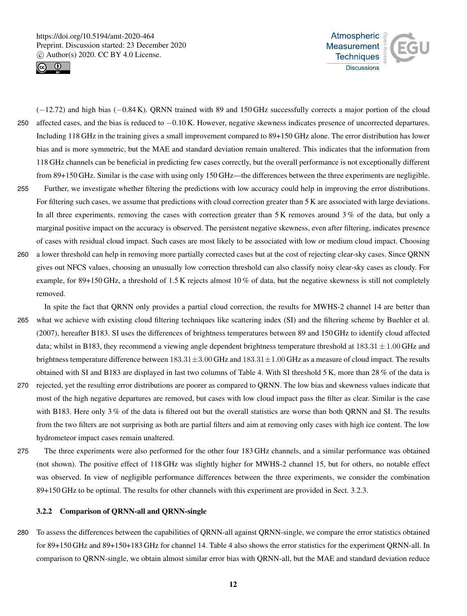



(−12.72) and high bias (−0.84 K). QRNN trained with 89 and 150 GHz successfully corrects a major portion of the cloud <sup>250</sup> affected cases, and the bias is reduced to −0.10 K. However, negative skewness indicates presence of uncorrected departures. Including 118 GHz in the training gives a small improvement compared to 89+150 GHz alone. The error distribution has lower bias and is more symmetric, but the MAE and standard deviation remain unaltered. This indicates that the information from 118 GHz channels can be beneficial in predicting few cases correctly, but the overall performance is not exceptionally different from 89+150 GHz. Similar is the case with using only 150 GHz—the differences between the three experiments are negligible. 255 Further, we investigate whether filtering the predictions with low accuracy could help in improving the error distributions. For filtering such cases, we assume that predictions with cloud correction greater than 5 K are associated with large deviations. In all three experiments, removing the cases with correction greater than 5 K removes around 3% of the data, but only a marginal positive impact on the accuracy is observed. The persistent negative skewness, even after filtering, indicates presence of cases with residual cloud impact. Such cases are most likely to be associated with low or medium cloud impact. Choosing

260 a lower threshold can help in removing more partially corrected cases but at the cost of rejecting clear-sky cases. Since QRNN gives out NFCS values, choosing an unusually low correction threshold can also classify noisy clear-sky cases as cloudy. For example, for 89+150 GHz, a threshold of 1.5 K rejects almost  $10\%$  of data, but the negative skewness is still not completely removed.

In spite the fact that QRNN only provides a partial cloud correction, the results for MWHS-2 channel 14 are better than 265 what we achieve with existing cloud filtering techniques like scattering index (SI) and the filtering scheme by Buehler et al. (2007), hereafter B183. SI uses the differences of brightness temperatures between 89 and 150 GHz to identify cloud affected data; whilst in B183, they recommend a viewing angle dependent brightness temperature threshold at  $183.31 \pm 1.00$  GHz and brightness temperature difference between  $183.31 \pm 3.00$  GHz and  $183.31 \pm 1.00$  GHz as a measure of cloud impact. The results obtained with SI and B183 are displayed in last two columns of Table 4. With SI threshold 5 K, more than 28 % of the data is 270 rejected, yet the resulting error distributions are poorer as compared to QRNN. The low bias and skewness values indicate that most of the high negative departures are removed, but cases with low cloud impact pass the filter as clear. Similar is the case with B183. Here only 3% of the data is filtered out but the overall statistics are worse than both QRNN and SI. The results from the two filters are not surprising as both are partial filters and aim at removing only cases with high ice content. The low hydrometeor impact cases remain unaltered.

275 The three experiments were also performed for the other four 183 GHz channels, and a similar performance was obtained (not shown). The positive effect of 118 GHz was slightly higher for MWHS-2 channel 15, but for others, no notable effect was observed. In view of negligible performance differences between the three experiments, we consider the combination 89+150 GHz to be optimal. The results for other channels with this experiment are provided in Sect. 3.2.3.

# 3.2.2 Comparison of QRNN-all and QRNN-single

280 To assess the differences between the capabilities of QRNN-all against QRNN-single, we compare the error statistics obtained for 89+150 GHz and 89+150+183 GHz for channel 14. Table 4 also shows the error statistics for the experiment QRNN-all. In comparison to QRNN-single, we obtain almost similar error bias with QRNN-all, but the MAE and standard deviation reduce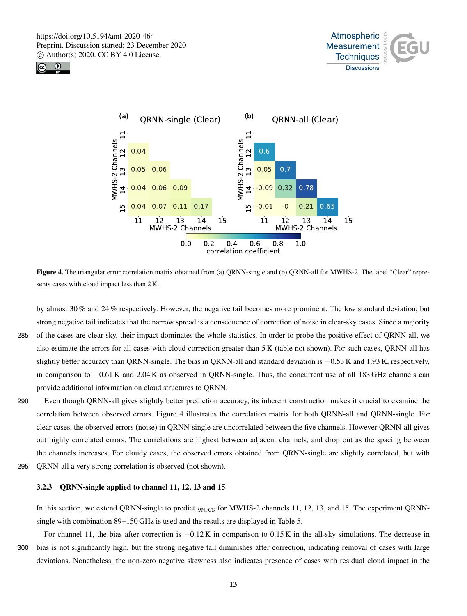





Figure 4. The triangular error correlation matrix obtained from (a) QRNN-single and (b) QRNN-all for MWHS-2. The label "Clear" represents cases with cloud impact less than 2 K.

by almost 30 % and 24 % respectively. However, the negative tail becomes more prominent. The low standard deviation, but strong negative tail indicates that the narrow spread is a consequence of correction of noise in clear-sky cases. Since a majority 285 of the cases are clear-sky, their impact dominates the whole statistics. In order to probe the positive effect of QRNN-all, we also estimate the errors for all cases with cloud correction greater than 5 K (table not shown). For such cases, QRNN-all has slightly better accuracy than QRNN-single. The bias in QRNN-all and standard deviation is −0.53 K and 1.93 K, respectively, in comparison to −0.61 K and 2.04 K as observed in QRNN-single. Thus, the concurrent use of all 183 GHz channels can provide additional information on cloud structures to QRNN.

- 290 Even though QRNN-all gives slightly better prediction accuracy, its inherent construction makes it crucial to examine the correlation between observed errors. Figure 4 illustrates the correlation matrix for both QRNN-all and QRNN-single. For clear cases, the observed errors (noise) in QRNN-single are uncorrelated between the five channels. However QRNN-all gives out highly correlated errors. The correlations are highest between adjacent channels, and drop out as the spacing between the channels increases. For cloudy cases, the observed errors obtained from QRNN-single are slightly correlated, but with 295 QRNN-all a very strong correlation is observed (not shown).
	-

# 3.2.3 QRNN-single applied to channel 11, 12, 13 and 15

In this section, we extend QRNN-single to predict  $y<sub>NFCS</sub>$  for MWHS-2 channels 11, 12, 13, and 15. The experiment QRNNsingle with combination 89+150 GHz is used and the results are displayed in Table 5.

For channel 11, the bias after correction is −0.12 K in comparison to 0.15 K in the all-sky simulations. The decrease in 300 bias is not significantly high, but the strong negative tail diminishes after correction, indicating removal of cases with large deviations. Nonetheless, the non-zero negative skewness also indicates presence of cases with residual cloud impact in the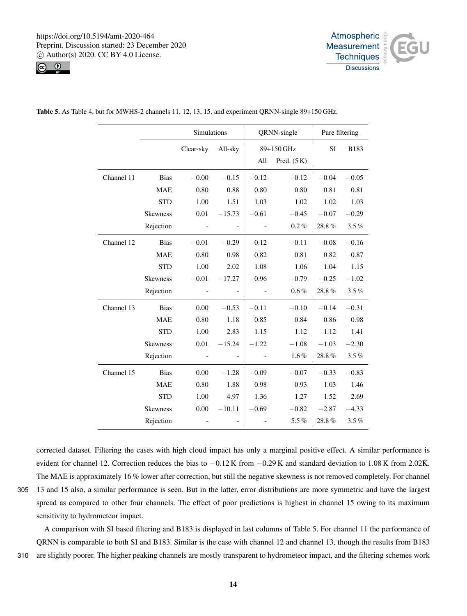



|            |                 | Simulations |                   |         | QRNN-single   | Pure filtering |           |
|------------|-----------------|-------------|-------------------|---------|---------------|----------------|-----------|
|            |                 | Clear-sky   | All-sky           |         | 89+150 GHz    | SI             | B183      |
|            |                 |             |                   | All     | Pred. $(5 K)$ |                |           |
| Channel 11 | <b>Bias</b>     | $-0.00$     | $-0.15$           | $-0.12$ | $-0.12$       | $-0.04$        | $-0.05$   |
|            | <b>MAE</b>      | 0.80        | 0.88              | 0.80    | 0.80          | 0.81           | 0.81      |
|            | <b>STD</b>      | 1.00        | 1.51              | 1.03    | 1.02          | 1.02           | 1.03      |
|            | <b>Skewness</b> | 0.01        | $-15.73$          | $-0.61$ | $-0.45$       | $-0.07$        | $-0.29$   |
|            | Rejection       |             |                   |         | $0.2\%$       | 28.8%          | 3.5%      |
| Channel 12 | <b>Bias</b>     | $-0.01$     | $-0.29$           | $-0.12$ | $-0.11$       | $-0.08$        | $-0.16$   |
|            | <b>MAE</b>      | 0.80        | 0.98              | 0.82    | 0.81          | 0.82           | 0.87      |
|            | <b>STD</b>      | 1.00        | 2.02              | 1.08    | 1.06          | 1.04           | 1.15      |
|            | <b>Skewness</b> | $\!-0.01$   | $-17.27$          | $-0.96$ | $-0.79$       | $-0.25$        | $-1.02$   |
|            | Rejection       |             |                   |         | $0.6\%$       | 28.8%          | 3.5%      |
| Channel 13 | Bias            | 0.00        | $-0.53$           | $-0.11$ | $-0.10$       | $-0.14$        | $-0.31$   |
|            | <b>MAE</b>      | 0.80        | 1.18              | 0.85    | 0.84          | 0.86           | 0.98      |
|            | <b>STD</b>      | 1.00        | 2.83              | 1.15    | 1.12          | 1.12           | 1.41      |
|            | <b>Skewness</b> | 0.01        | $-15.24$          | $-1.22$ | $-1.08$       | $-1.03$        | $-2.30$   |
|            | Rejection       |             |                   |         | $1.6\%$       | 28.8%          | $3.5\,\%$ |
| Channel 15 | <b>Bias</b>     | 0.00        | $-1.28$           | $-0.09$ | $-0.07$       | $-0.33$        | $-0.83$   |
|            | <b>MAE</b>      | 0.80        | 1.88              | 0.98    | 0.93          | 1.03           | 1.46      |
|            | <b>STD</b>      | 1.00        | 4.97              | 1.36    | 1.27          | 1.52           | 2.69      |
|            | <b>Skewness</b> | 0.00        | $-10.11$          | $-0.69$ | $-0.82$       | $-2.87$        | $-4.33$   |
|            | Rejection       |             | $\qquad \qquad -$ |         | $5.5\%$       | 28.8%          | 3.5%      |

Table 5. As Table 4, but for MWHS-2 channels 11, 12, 13, 15, and experiment QRNN-single 89+150 GHz.

corrected dataset. Filtering the cases with high cloud impact has only a marginal positive effect. A similar performance is evident for channel 12. Correction reduces the bias to  $-0.12$  K from  $-0.29$  K and standard deviation to 1.08 K from 2.02K. The MAE is approximately 16 % lower after correction, but still the negative skewness is not removed completely. For channel 305 13 and 15 also, a similar performance is seen. But in the latter, error distributions are more symmetric and have the largest spread as compared to other four channels. The effect of poor predictions is highest in channel 15 owing to its maximum

sensitivity to hydrometeor impact. A comparison with SI based filtering and B183 is displayed in last columns of Table 5. For channel 11 the performance of QRNN is comparable to both SI and B183. Similar is the case with channel 12 and channel 13, though the results from B183

310 are slightly poorer. The higher peaking channels are mostly transparent to hydrometeor impact, and the filtering schemes work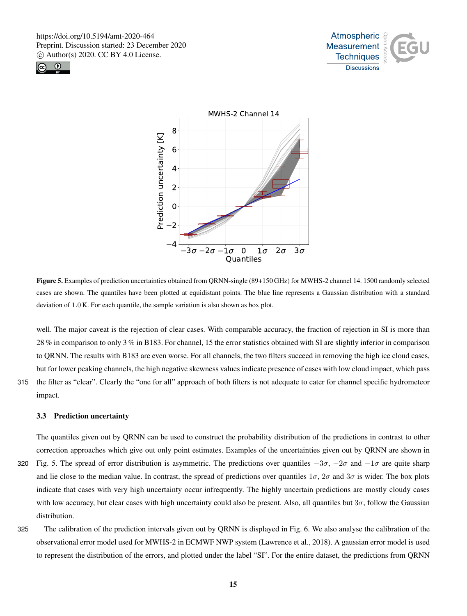





Figure 5. Examples of prediction uncertainties obtained from QRNN-single (89+150 GHz) for MWHS-2 channel 14. 1500 randomly selected cases are shown. The quantiles have been plotted at equidistant points. The blue line represents a Gaussian distribution with a standard deviation of 1.0 K. For each quantile, the sample variation is also shown as box plot.

well. The major caveat is the rejection of clear cases. With comparable accuracy, the fraction of rejection in SI is more than 28 % in comparison to only 3 % in B183. For channel, 15 the error statistics obtained with SI are slightly inferior in comparison to QRNN. The results with B183 are even worse. For all channels, the two filters succeed in removing the high ice cloud cases, but for lower peaking channels, the high negative skewness values indicate presence of cases with low cloud impact, which pass 315 the filter as "clear". Clearly the "one for all" approach of both filters is not adequate to cater for channel specific hydrometeor

impact.

#### 3.3 Prediction uncertainty

The quantiles given out by QRNN can be used to construct the probability distribution of the predictions in contrast to other correction approaches which give out only point estimates. Examples of the uncertainties given out by QRNN are shown in 320 Fig. 5. The spread of error distribution is asymmetric. The predictions over quantiles  $-3\sigma$ ,  $-2\sigma$  and  $-1\sigma$  are quite sharp and lie close to the median value. In contrast, the spread of predictions over quantiles  $1\sigma$ ,  $2\sigma$  and  $3\sigma$  is wider. The box plots indicate that cases with very high uncertainty occur infrequently. The highly uncertain predictions are mostly cloudy cases with low accuracy, but clear cases with high uncertainty could also be present. Also, all quantiles but  $3\sigma$ , follow the Gaussian distribution.

325 The calibration of the prediction intervals given out by QRNN is displayed in Fig. 6. We also analyse the calibration of the observational error model used for MWHS-2 in ECMWF NWP system (Lawrence et al., 2018). A gaussian error model is used to represent the distribution of the errors, and plotted under the label "SI". For the entire dataset, the predictions from QRNN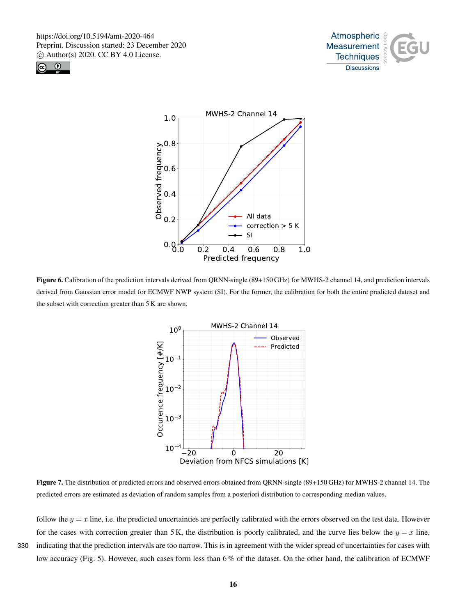





Figure 6. Calibration of the prediction intervals derived from QRNN-single (89+150 GHz) for MWHS-2 channel 14, and prediction intervals derived from Gaussian error model for ECMWF NWP system (SI). For the former, the calibration for both the entire predicted dataset and the subset with correction greater than 5 K are shown.



Figure 7. The distribution of predicted errors and observed errors obtained from QRNN-single (89+150 GHz) for MWHS-2 channel 14. The predicted errors are estimated as deviation of random samples from a posteriori distribution to corresponding median values.

follow the  $y = x$  line, i.e. the predicted uncertainties are perfectly calibrated with the errors observed on the test data. However for the cases with correction greater than 5 K, the distribution is poorly calibrated, and the curve lies below the  $y = x$  line, 330 indicating that the prediction intervals are too narrow. This is in agreement with the wider spread of uncertainties for cases with low accuracy (Fig. 5). However, such cases form less than 6 % of the dataset. On the other hand, the calibration of ECMWF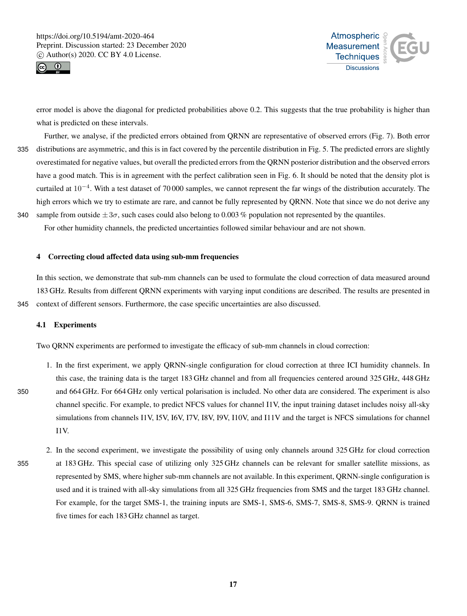



error model is above the diagonal for predicted probabilities above 0.2. This suggests that the true probability is higher than what is predicted on these intervals.

- Further, we analyse, if the predicted errors obtained from QRNN are representative of observed errors (Fig. 7). Both error 335 distributions are asymmetric, and this is in fact covered by the percentile distribution in Fig. 5. The predicted errors are slightly overestimated for negative values, but overall the predicted errors from the QRNN posterior distribution and the observed errors have a good match. This is in agreement with the perfect calibration seen in Fig. 6. It should be noted that the density plot is curtailed at  $10^{-4}$ . With a test dataset of 70 000 samples, we cannot represent the far wings of the distribution accurately. The high errors which we try to estimate are rare, and cannot be fully represented by QRNN. Note that since we do not derive any 340 sample from outside  $\pm 3\sigma$ , such cases could also belong to 0.003 % population not represented by the quantiles.
- For other humidity channels, the predicted uncertainties followed similar behaviour and are not shown.

# 4 Correcting cloud affected data using sub-mm frequencies

In this section, we demonstrate that sub-mm channels can be used to formulate the cloud correction of data measured around 183 GHz. Results from different QRNN experiments with varying input conditions are described. The results are presented in 345 context of different sensors. Furthermore, the case specific uncertainties are also discussed.

# 4.1 Experiments

Two QRNN experiments are performed to investigate the efficacy of sub-mm channels in cloud correction:

- 1. In the first experiment, we apply QRNN-single configuration for cloud correction at three ICI humidity channels. In this case, the training data is the target 183 GHz channel and from all frequencies centered around 325 GHz, 448 GHz 350 and 664 GHz. For 664 GHz only vertical polarisation is included. No other data are considered. The experiment is also channel specific. For example, to predict NFCS values for channel I1V, the input training dataset includes noisy all-sky simulations from channels I1V, I5V, I6V, I7V, I8V, I9V, I10V, and I11V and the target is NFCS simulations for channel I1V.
- 2. In the second experiment, we investigate the possibility of using only channels around 325 GHz for cloud correction 355 at 183 GHz. This special case of utilizing only 325 GHz channels can be relevant for smaller satellite missions, as represented by SMS, where higher sub-mm channels are not available. In this experiment, QRNN-single configuration is used and it is trained with all-sky simulations from all 325 GHz frequencies from SMS and the target 183 GHz channel. For example, for the target SMS-1, the training inputs are SMS-1, SMS-6, SMS-7, SMS-8, SMS-9. QRNN is trained five times for each 183 GHz channel as target.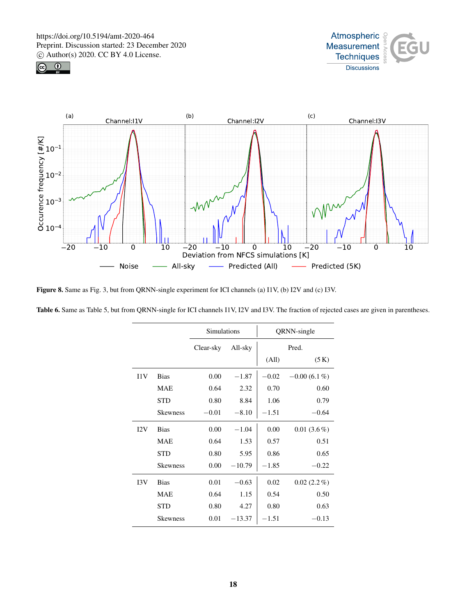





Figure 8. Same as Fig. 3, but from QRNN-single experiment for ICI channels (a) I1V, (b) I2V and (c) I3V.

| Table 6. Same as Table 5, but from QRNN-single for ICI channels I1V, I2V and I3V. The fraction of rejected cases are given in parentheses. |  |  |
|--------------------------------------------------------------------------------------------------------------------------------------------|--|--|
|--------------------------------------------------------------------------------------------------------------------------------------------|--|--|

|     |                 | Simulations |          |         | QRNN-single    |
|-----|-----------------|-------------|----------|---------|----------------|
|     |                 | Clear-sky   | All-sky  |         | Pred.          |
|     |                 |             |          | (All)   | (5 K)          |
| 11V | <b>Bias</b>     | 0.00        | $-1.87$  | $-0.02$ | $-0.00(6.1\%)$ |
|     | <b>MAE</b>      | 0.64        | 2.32     | 0.70    | 0.60           |
|     | <b>STD</b>      | 0.80        | 8.84     | 1.06    | 0.79           |
|     | <b>Skewness</b> | $-0.01$     | $-8.10$  | $-1.51$ | $-0.64$        |
| I2V | <b>Bias</b>     | 0.00        | $-1.04$  | 0.00    | $0.01(3.6\%)$  |
|     | <b>MAE</b>      | 0.64        | 1.53     | 0.57    | 0.51           |
|     | <b>STD</b>      | 0.80        | 5.95     | 0.86    | 0.65           |
|     | <b>Skewness</b> | 0.00        | $-10.79$ | $-1.85$ | $-0.22$        |
| 13V | <b>Bias</b>     | 0.01        | $-0.63$  | 0.02    | $0.02(2.2\%)$  |
|     | <b>MAE</b>      | 0.64        | 1.15     | 0.54    | 0.50           |
|     | <b>STD</b>      | 0.80        | 4.27     | 0.80    | 0.63           |
|     | <b>Skewness</b> | 0.01        | $-13.37$ | $-1.51$ | $-0.13$        |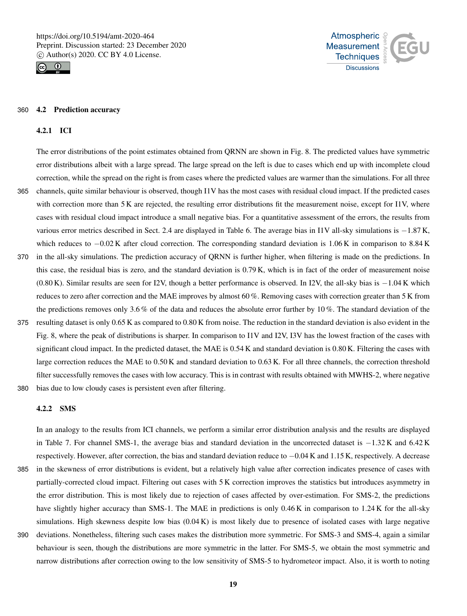



#### 360 4.2 Prediction accuracy

## 4.2.1 ICI

The error distributions of the point estimates obtained from QRNN are shown in Fig. 8. The predicted values have symmetric error distributions albeit with a large spread. The large spread on the left is due to cases which end up with incomplete cloud correction, while the spread on the right is from cases where the predicted values are warmer than the simulations. For all three 365 channels, quite similar behaviour is observed, though I1V has the most cases with residual cloud impact. If the predicted cases with correction more than 5 K are rejected, the resulting error distributions fit the measurement noise, except for I1V, where cases with residual cloud impact introduce a small negative bias. For a quantitative assessment of the errors, the results from various error metrics described in Sect. 2.4 are displayed in Table 6. The average bias in I1V all-sky simulations is −1.87 K, which reduces to −0.02 K after cloud correction. The corresponding standard deviation is 1.06 K in comparison to 8.84 K 370 in the all-sky simulations. The prediction accuracy of QRNN is further higher, when filtering is made on the predictions. In this case, the residual bias is zero, and the standard deviation is 0.79 K, which is in fact of the order of measurement noise (0.80 K). Similar results are seen for I2V, though a better performance is observed. In I2V, the all-sky bias is −1.04 K which reduces to zero after correction and the MAE improves by almost 60 %. Removing cases with correction greater than 5 K from the predictions removes only 3.6 % of the data and reduces the absolute error further by 10 %. The standard deviation of the 375 resulting dataset is only 0.65 K as compared to 0.80 K from noise. The reduction in the standard deviation is also evident in the Fig. 8, where the peak of distributions is sharper. In comparison to I1V and I2V, I3V has the lowest fraction of the cases with significant cloud impact. In the predicted dataset, the MAE is 0.54 K and standard deviation is 0.80 K. Filtering the cases with

380 bias due to low cloudy cases is persistent even after filtering.

#### 4.2.2 SMS

In an analogy to the results from ICI channels, we perform a similar error distribution analysis and the results are displayed in Table 7. For channel SMS-1, the average bias and standard deviation in the uncorrected dataset is −1.32 K and 6.42 K respectively. However, after correction, the bias and standard deviation reduce to −0.04 K and 1.15 K, respectively. A decrease 385 in the skewness of error distributions is evident, but a relatively high value after correction indicates presence of cases with

large correction reduces the MAE to 0.50 K and standard deviation to 0.63 K. For all three channels, the correction threshold filter successfully removes the cases with low accuracy. This is in contrast with results obtained with MWHS-2, where negative

- partially-corrected cloud impact. Filtering out cases with 5 K correction improves the statistics but introduces asymmetry in the error distribution. This is most likely due to rejection of cases affected by over-estimation. For SMS-2, the predictions have slightly higher accuracy than SMS-1. The MAE in predictions is only 0.46 K in comparison to 1.24 K for the all-sky simulations. High skewness despite low bias (0.04 K) is most likely due to presence of isolated cases with large negative
- 390 deviations. Nonetheless, filtering such cases makes the distribution more symmetric. For SMS-3 and SMS-4, again a similar behaviour is seen, though the distributions are more symmetric in the latter. For SMS-5, we obtain the most symmetric and narrow distributions after correction owing to the low sensitivity of SMS-5 to hydrometeor impact. Also, it is worth to noting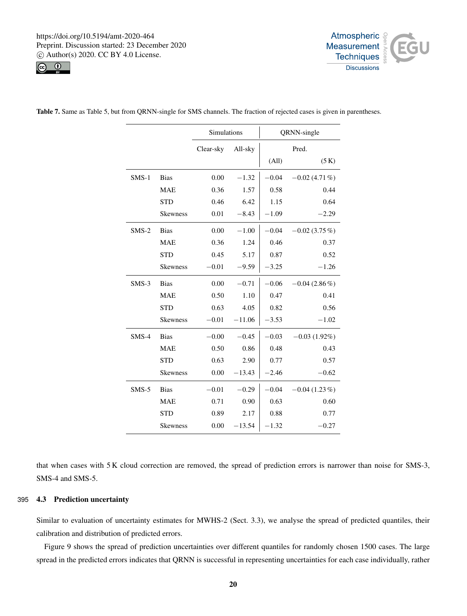



|         |                 | Simulations |          |         | QRNN-single      |
|---------|-----------------|-------------|----------|---------|------------------|
|         |                 | Clear-sky   | All-sky  |         | Pred.            |
|         |                 |             |          | (All)   | (5 K)            |
| $SMS-1$ | <b>Bias</b>     | 0.00        | $-1.32$  | $-0.04$ | $-0.02(4.71\%)$  |
|         | <b>MAE</b>      | 0.36        | 1.57     | 0.58    | 0.44             |
|         | <b>STD</b>      | 0.46        | 6.42     | 1.15    | 0.64             |
|         | <b>Skewness</b> | 0.01        | $-8.43$  | $-1.09$ | $-2.29$          |
| $SMS-2$ | <b>Bias</b>     | 0.00        | $-1.00$  | $-0.04$ | $-0.02$ (3.75 %) |
|         | <b>MAE</b>      | 0.36        | 1.24     | 0.46    | 0.37             |
|         | <b>STD</b>      | 0.45        | 5.17     | 0.87    | 0.52             |
|         | <b>Skewness</b> | $-0.01$     | $-9.59$  | $-3.25$ | $-1.26$          |
| $SMS-3$ | <b>Bias</b>     | 0.00        | $-0.71$  | $-0.06$ | $-0.04(2.86\%)$  |
|         | <b>MAE</b>      | 0.50        | 1.10     | 0.47    | 0.41             |
|         | <b>STD</b>      | 0.63        | 4.05     | 0.82    | 0.56             |
|         | Skewness        | $-0.01$     | $-11.06$ | $-3.53$ | $-1.02$          |
| $SMS-4$ | <b>Bias</b>     | $-0.00$     | $-0.45$  | $-0.03$ | $-0.03(1.92\%)$  |
|         | <b>MAE</b>      | 0.50        | 0.86     | 0.48    | 0.43             |
|         | <b>STD</b>      | 0.63        | 2.90     | 0.77    | 0.57             |
|         | <b>Skewness</b> | 0.00        | $-13.43$ | $-2.46$ | $-0.62$          |
| $SMS-5$ | <b>Bias</b>     | $-0.01$     | $-0.29$  | $-0.04$ | $-0.04(1.23\%)$  |
|         | <b>MAE</b>      | 0.71        | 0.90     | 0.63    | 0.60             |
|         | <b>STD</b>      | 0.89        | 2.17     | 0.88    | 0.77             |
|         | <b>Skewness</b> | 0.00        | $-13.54$ | $-1.32$ | $-0.27$          |

Table 7. Same as Table 5, but from QRNN-single for SMS channels. The fraction of rejected cases is given in parentheses.

that when cases with 5 K cloud correction are removed, the spread of prediction errors is narrower than noise for SMS-3, SMS-4 and SMS-5.

# 395 4.3 Prediction uncertainty

Similar to evaluation of uncertainty estimates for MWHS-2 (Sect. 3.3), we analyse the spread of predicted quantiles, their calibration and distribution of predicted errors.

Figure 9 shows the spread of prediction uncertainties over different quantiles for randomly chosen 1500 cases. The large spread in the predicted errors indicates that QRNN is successful in representing uncertainties for each case individually, rather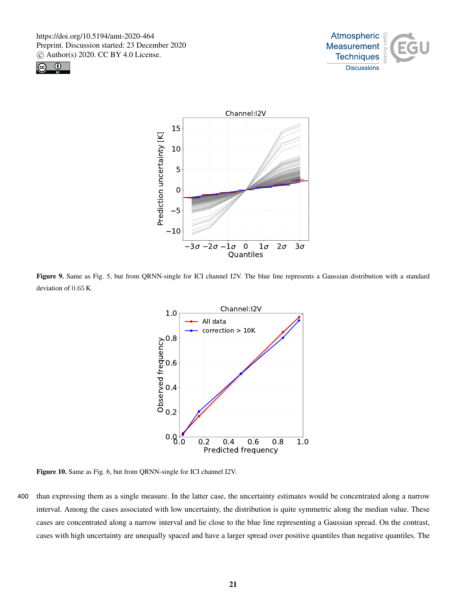





Figure 9. Same as Fig. 5, but from QRNN-single for ICI channel I2V. The blue line represents a Gaussian distribution with a standard deviation of 0.65 K.



Figure 10. Same as Fig. 6, but from QRNN-single for ICI channel I2V.

400 than expressing them as a single measure. In the latter case, the uncertainty estimates would be concentrated along a narrow interval. Among the cases associated with low uncertainty, the distribution is quite symmetric along the median value. These cases are concentrated along a narrow interval and lie close to the blue line representing a Gaussian spread. On the contrast, cases with high uncertainty are unequally spaced and have a larger spread over positive quantiles than negative quantiles. The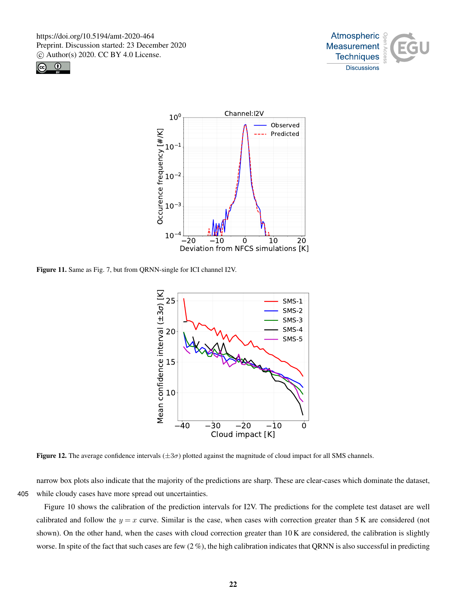





Figure 11. Same as Fig. 7, but from QRNN-single for ICI channel I2V.



**Figure 12.** The average confidence intervals  $(\pm 3\sigma)$  plotted against the magnitude of cloud impact for all SMS channels.

narrow box plots also indicate that the majority of the predictions are sharp. These are clear-cases which dominate the dataset, 405 while cloudy cases have more spread out uncertainties.

Figure 10 shows the calibration of the prediction intervals for I2V. The predictions for the complete test dataset are well calibrated and follow the  $y = x$  curve. Similar is the case, when cases with correction greater than 5 K are considered (not shown). On the other hand, when the cases with cloud correction greater than 10 K are considered, the calibration is slightly worse. In spite of the fact that such cases are few  $(2\%)$ , the high calibration indicates that QRNN is also successful in predicting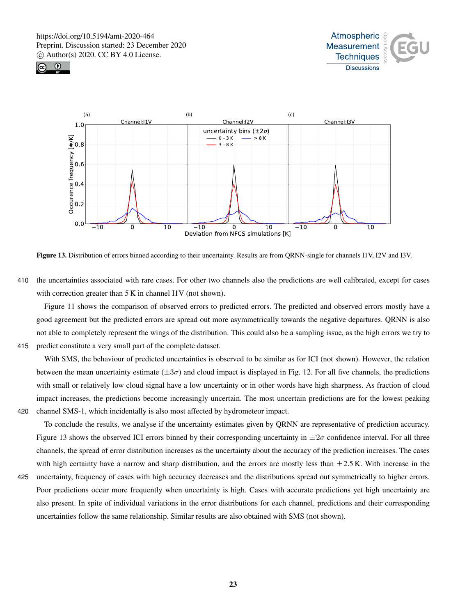





Figure 13. Distribution of errors binned according to their uncertainty. Results are from QRNN-single for channels I1V, I2V and I3V.

410 the uncertainties associated with rare cases. For other two channels also the predictions are well calibrated, except for cases with correction greater than 5 K in channel I1V (not shown).

Figure 11 shows the comparison of observed errors to predicted errors. The predicted and observed errors mostly have a good agreement but the predicted errors are spread out more asymmetrically towards the negative departures. QRNN is also not able to completely represent the wings of the distribution. This could also be a sampling issue, as the high errors we try to 415 predict constitute a very small part of the complete dataset.

With SMS, the behaviour of predicted uncertainties is observed to be similar as for ICI (not shown). However, the relation between the mean uncertainty estimate  $(\pm 3\sigma)$  and cloud impact is displayed in Fig. 12. For all five channels, the predictions with small or relatively low cloud signal have a low uncertainty or in other words have high sharpness. As fraction of cloud impact increases, the predictions become increasingly uncertain. The most uncertain predictions are for the lowest peaking 420 channel SMS-1, which incidentally is also most affected by hydrometeor impact.

- To conclude the results, we analyse if the uncertainty estimates given by QRNN are representative of prediction accuracy. Figure 13 shows the observed ICI errors binned by their corresponding uncertainty in  $\pm 2\sigma$  confidence interval. For all three channels, the spread of error distribution increases as the uncertainty about the accuracy of the prediction increases. The cases with high certainty have a narrow and sharp distribution, and the errors are mostly less than  $\pm 2.5$  K. With increase in the
- 
- 425 uncertainty, frequency of cases with high accuracy decreases and the distributions spread out symmetrically to higher errors. Poor predictions occur more frequently when uncertainty is high. Cases with accurate predictions yet high uncertainty are also present. In spite of individual variations in the error distributions for each channel, predictions and their corresponding uncertainties follow the same relationship. Similar results are also obtained with SMS (not shown).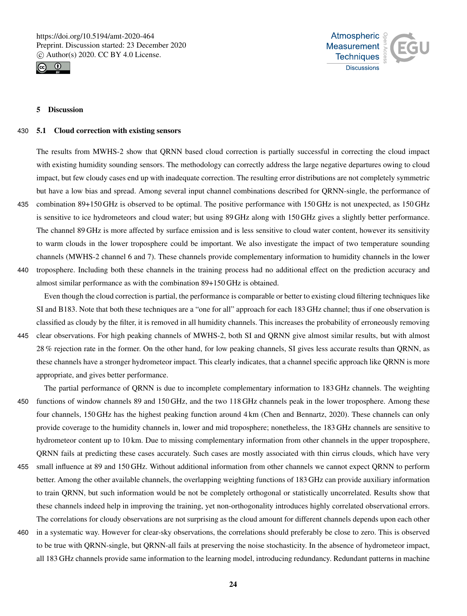



# 5 Discussion

#### 430 5.1 Cloud correction with existing sensors

The results from MWHS-2 show that QRNN based cloud correction is partially successful in correcting the cloud impact with existing humidity sounding sensors. The methodology can correctly address the large negative departures owing to cloud impact, but few cloudy cases end up with inadequate correction. The resulting error distributions are not completely symmetric but have a low bias and spread. Among several input channel combinations described for QRNN-single, the performance of

- 435 combination 89+150 GHz is observed to be optimal. The positive performance with 150 GHz is not unexpected, as 150 GHz is sensitive to ice hydrometeors and cloud water; but using 89 GHz along with 150 GHz gives a slightly better performance. The channel 89 GHz is more affected by surface emission and is less sensitive to cloud water content, however its sensitivity to warm clouds in the lower troposphere could be important. We also investigate the impact of two temperature sounding channels (MWHS-2 channel 6 and 7). These channels provide complementary information to humidity channels in the lower 440 troposphere. Including both these channels in the training process had no additional effect on the prediction accuracy and
- almost similar performance as with the combination 89+150 GHz is obtained.

Even though the cloud correction is partial, the performance is comparable or better to existing cloud filtering techniques like SI and B183. Note that both these techniques are a "one for all" approach for each 183 GHz channel; thus if one observation is classified as cloudy by the filter, it is removed in all humidity channels. This increases the probability of erroneously removing

- 445 clear observations. For high peaking channels of MWHS-2, both SI and QRNN give almost similar results, but with almost 28 % rejection rate in the former. On the other hand, for low peaking channels, SI gives less accurate results than QRNN, as these channels have a stronger hydrometeor impact. This clearly indicates, that a channel specific approach like QRNN is more appropriate, and gives better performance.
- The partial performance of QRNN is due to incomplete complementary information to 183 GHz channels. The weighting 450 functions of window channels 89 and 150 GHz, and the two 118 GHz channels peak in the lower troposphere. Among these four channels, 150 GHz has the highest peaking function around 4 km (Chen and Bennartz, 2020). These channels can only provide coverage to the humidity channels in, lower and mid troposphere; nonetheless, the 183 GHz channels are sensitive to hydrometeor content up to 10 km. Due to missing complementary information from other channels in the upper troposphere, QRNN fails at predicting these cases accurately. Such cases are mostly associated with thin cirrus clouds, which have very
- 455 small influence at 89 and 150 GHz. Without additional information from other channels we cannot expect QRNN to perform better. Among the other available channels, the overlapping weighting functions of 183 GHz can provide auxiliary information to train QRNN, but such information would be not be completely orthogonal or statistically uncorrelated. Results show that these channels indeed help in improving the training, yet non-orthogonality introduces highly correlated observational errors. The correlations for cloudy observations are not surprising as the cloud amount for different channels depends upon each other
- 460 in a systematic way. However for clear-sky observations, the correlations should preferably be close to zero. This is observed to be true with QRNN-single, but QRNN-all fails at preserving the noise stochasticity. In the absence of hydrometeor impact, all 183 GHz channels provide same information to the learning model, introducing redundancy. Redundant patterns in machine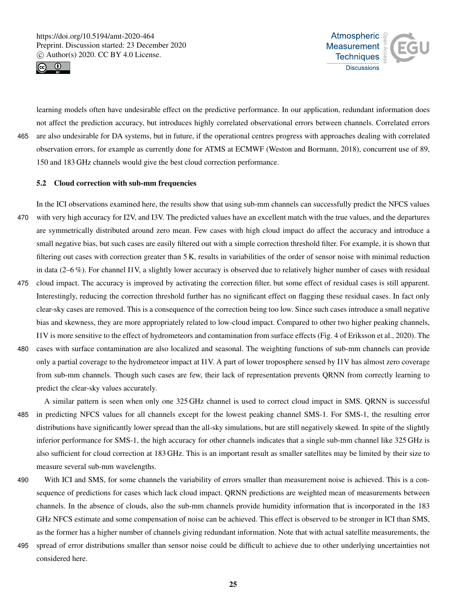



learning models often have undesirable effect on the predictive performance. In our application, redundant information does not affect the prediction accuracy, but introduces highly correlated observational errors between channels. Correlated errors 465 are also undesirable for DA systems, but in future, if the operational centres progress with approaches dealing with correlated observation errors, for example as currently done for ATMS at ECMWF (Weston and Bormann, 2018), concurrent use of 89, 150 and 183 GHz channels would give the best cloud correction performance.

# 5.2 Cloud correction with sub-mm frequencies

In the ICI observations examined here, the results show that using sub-mm channels can successfully predict the NFCS values 470 with very high accuracy for I2V, and I3V. The predicted values have an excellent match with the true values, and the departures are symmetrically distributed around zero mean. Few cases with high cloud impact do affect the accuracy and introduce a small negative bias, but such cases are easily filtered out with a simple correction threshold filter. For example, it is shown that filtering out cases with correction greater than 5 K, results in variabilities of the order of sensor noise with minimal reduction in data (2–6 %). For channel I1V, a slightly lower accuracy is observed due to relatively higher number of cases with residual

- 475 cloud impact. The accuracy is improved by activating the correction filter, but some effect of residual cases is still apparent. Interestingly, reducing the correction threshold further has no significant effect on flagging these residual cases. In fact only clear-sky cases are removed. This is a consequence of the correction being too low. Since such cases introduce a small negative bias and skewness, they are more appropriately related to low-cloud impact. Compared to other two higher peaking channels, I1V is more sensitive to the effect of hydrometeors and contamination from surface effects (Fig. 4 of Eriksson et al., 2020). The
- 480 cases with surface contamination are also localized and seasonal. The weighting functions of sub-mm channels can provide only a partial coverage to the hydrometeor impact at I1V. A part of lower troposphere sensed by I1V has almost zero coverage from sub-mm channels. Though such cases are few, their lack of representation prevents QRNN from correctly learning to predict the clear-sky values accurately.
- A similar pattern is seen when only one 325 GHz channel is used to correct cloud impact in SMS. QRNN is successful 485 in predicting NFCS values for all channels except for the lowest peaking channel SMS-1. For SMS-1, the resulting error distributions have significantly lower spread than the all-sky simulations, but are still negatively skewed. In spite of the slightly inferior performance for SMS-1, the high accuracy for other channels indicates that a single sub-mm channel like 325 GHz is also sufficient for cloud correction at 183 GHz. This is an important result as smaller satellites may be limited by their size to measure several sub-mm wavelengths.
- 490 With ICI and SMS, for some channels the variability of errors smaller than measurement noise is achieved. This is a consequence of predictions for cases which lack cloud impact. QRNN predictions are weighted mean of measurements between channels. In the absence of clouds, also the sub-mm channels provide humidity information that is incorporated in the 183 GHz NFCS estimate and some compensation of noise can be achieved. This effect is observed to be stronger in ICI than SMS, as the former has a higher number of channels giving redundant information. Note that with actual satellite measurements, the
- 495 spread of error distributions smaller than sensor noise could be difficult to achieve due to other underlying uncertainties not considered here.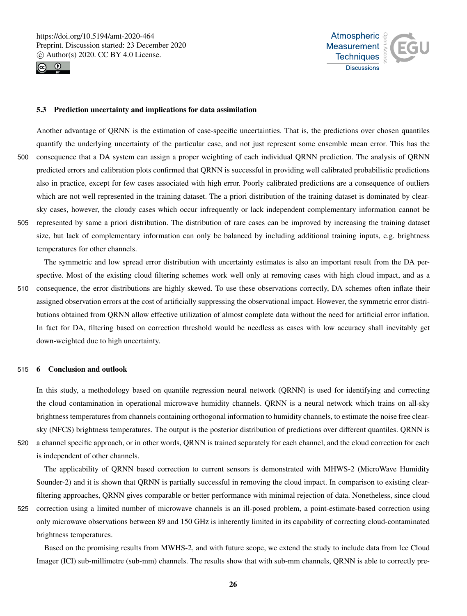



## 5.3 Prediction uncertainty and implications for data assimilation

Another advantage of QRNN is the estimation of case-specific uncertainties. That is, the predictions over chosen quantiles quantify the underlying uncertainty of the particular case, and not just represent some ensemble mean error. This has the 500 consequence that a DA system can assign a proper weighting of each individual QRNN prediction. The analysis of QRNN predicted errors and calibration plots confirmed that QRNN is successful in providing well calibrated probabilistic predictions also in practice, except for few cases associated with high error. Poorly calibrated predictions are a consequence of outliers which are not well represented in the training dataset. The a priori distribution of the training dataset is dominated by clearsky cases, however, the cloudy cases which occur infrequently or lack independent complementary information cannot be 505 represented by same a priori distribution. The distribution of rare cases can be improved by increasing the training dataset size, but lack of complementary information can only be balanced by including additional training inputs, e.g. brightness temperatures for other channels.

The symmetric and low spread error distribution with uncertainty estimates is also an important result from the DA perspective. Most of the existing cloud filtering schemes work well only at removing cases with high cloud impact, and as a 510 consequence, the error distributions are highly skewed. To use these observations correctly, DA schemes often inflate their assigned observation errors at the cost of artificially suppressing the observational impact. However, the symmetric error distributions obtained from QRNN allow effective utilization of almost complete data without the need for artificial error inflation. In fact for DA, filtering based on correction threshold would be needless as cases with low accuracy shall inevitably get down-weighted due to high uncertainty.

#### 515 6 Conclusion and outlook

In this study, a methodology based on quantile regression neural network (QRNN) is used for identifying and correcting the cloud contamination in operational microwave humidity channels. QRNN is a neural network which trains on all-sky brightness temperatures from channels containing orthogonal information to humidity channels, to estimate the noise free clearsky (NFCS) brightness temperatures. The output is the posterior distribution of predictions over different quantiles. QRNN is

520 a channel specific approach, or in other words, QRNN is trained separately for each channel, and the cloud correction for each

is independent of other channels.

The applicability of QRNN based correction to current sensors is demonstrated with MHWS-2 (MicroWave Humidity Sounder-2) and it is shown that QRNN is partially successful in removing the cloud impact. In comparison to existing clearfiltering approaches, QRNN gives comparable or better performance with minimal rejection of data. Nonetheless, since cloud

525 correction using a limited number of microwave channels is an ill-posed problem, a point-estimate-based correction using only microwave observations between 89 and 150 GHz is inherently limited in its capability of correcting cloud-contaminated brightness temperatures.

Based on the promising results from MWHS-2, and with future scope, we extend the study to include data from Ice Cloud Imager (ICI) sub-millimetre (sub-mm) channels. The results show that with sub-mm channels, QRNN is able to correctly pre-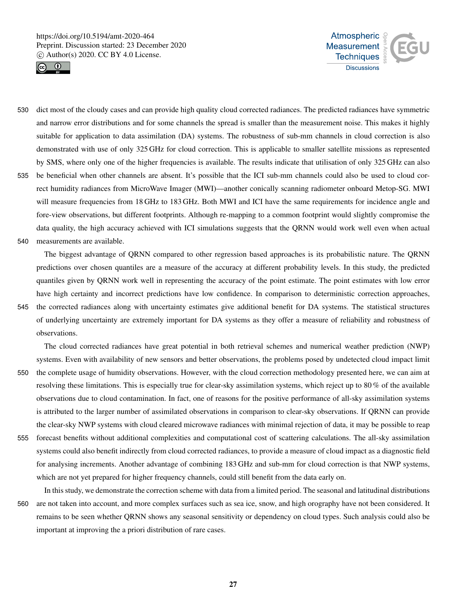



- 530 dict most of the cloudy cases and can provide high quality cloud corrected radiances. The predicted radiances have symmetric and narrow error distributions and for some channels the spread is smaller than the measurement noise. This makes it highly suitable for application to data assimilation (DA) systems. The robustness of sub-mm channels in cloud correction is also demonstrated with use of only 325 GHz for cloud correction. This is applicable to smaller satellite missions as represented by SMS, where only one of the higher frequencies is available. The results indicate that utilisation of only 325 GHz can also
- 535 be beneficial when other channels are absent. It's possible that the ICI sub-mm channels could also be used to cloud correct humidity radiances from MicroWave Imager (MWI)—another conically scanning radiometer onboard Metop-SG. MWI will measure frequencies from 18 GHz to 183 GHz. Both MWI and ICI have the same requirements for incidence angle and fore-view observations, but different footprints. Although re-mapping to a common footprint would slightly compromise the data quality, the high accuracy achieved with ICI simulations suggests that the QRNN would work well even when actual 540 measurements are available.
- 

The biggest advantage of QRNN compared to other regression based approaches is its probabilistic nature. The QRNN predictions over chosen quantiles are a measure of the accuracy at different probability levels. In this study, the predicted quantiles given by QRNN work well in representing the accuracy of the point estimate. The point estimates with low error have high certainty and incorrect predictions have low confidence. In comparison to deterministic correction approaches, 545 the corrected radiances along with uncertainty estimates give additional benefit for DA systems. The statistical structures of underlying uncertainty are extremely important for DA systems as they offer a measure of reliability and robustness of

observations.

The cloud corrected radiances have great potential in both retrieval schemes and numerical weather prediction (NWP) systems. Even with availability of new sensors and better observations, the problems posed by undetected cloud impact limit

- 550 the complete usage of humidity observations. However, with the cloud correction methodology presented here, we can aim at resolving these limitations. This is especially true for clear-sky assimilation systems, which reject up to 80 % of the available observations due to cloud contamination. In fact, one of reasons for the positive performance of all-sky assimilation systems is attributed to the larger number of assimilated observations in comparison to clear-sky observations. If QRNN can provide the clear-sky NWP systems with cloud cleared microwave radiances with minimal rejection of data, it may be possible to reap
- 555 forecast benefits without additional complexities and computational cost of scattering calculations. The all-sky assimilation systems could also benefit indirectly from cloud corrected radiances, to provide a measure of cloud impact as a diagnostic field for analysing increments. Another advantage of combining 183 GHz and sub-mm for cloud correction is that NWP systems, which are not yet prepared for higher frequency channels, could still benefit from the data early on.
- In this study, we demonstrate the correction scheme with data from a limited period. The seasonal and latitudinal distributions 560 are not taken into account, and more complex surfaces such as sea ice, snow, and high orography have not been considered. It remains to be seen whether QRNN shows any seasonal sensitivity or dependency on cloud types. Such analysis could also be important at improving the a priori distribution of rare cases.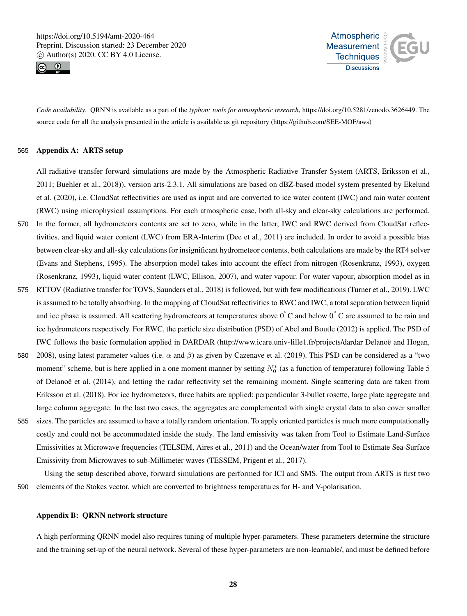



*Code availability.* QRNN is available as a part of the *typhon: tools for atmospheric research*, https://doi.org/10.5281/zenodo.3626449. The source code for all the analysis presented in the article is available as git repository (https://github.com/SEE-MOF/aws)

#### 565 Appendix A: ARTS setup

All radiative transfer forward simulations are made by the Atmospheric Radiative Transfer System (ARTS, Eriksson et al., 2011; Buehler et al., 2018)), version arts-2.3.1. All simulations are based on dBZ-based model system presented by Ekelund et al. (2020), i.e. CloudSat reflectivities are used as input and are converted to ice water content (IWC) and rain water content (RWC) using microphysical assumptions. For each atmospheric case, both all-sky and clear-sky calculations are performed.

- 570 In the former, all hydrometeors contents are set to zero, while in the latter, IWC and RWC derived from CloudSat reflectivities, and liquid water content (LWC) from ERA-Interim (Dee et al., 2011) are included. In order to avoid a possible bias between clear-sky and all-sky calculations for insignificant hydrometeor contents, both calculations are made by the RT4 solver (Evans and Stephens, 1995). The absorption model takes into account the effect from nitrogen (Rosenkranz, 1993), oxygen (Rosenkranz, 1993), liquid water content (LWC, Ellison, 2007), and water vapour. For water vapour, absorption model as in
- 575 RTTOV (Radiative transfer for TOVS, Saunders et al., 2018) is followed, but with few modifications (Turner et al., 2019). LWC is assumed to be totally absorbing. In the mapping of CloudSat reflectivities to RWC and IWC, a total separation between liquid and ice phase is assumed. All scattering hydrometeors at temperatures above  $0°C$  and below  $0°C$  are assumed to be rain and ice hydrometeors respectively. For RWC, the particle size distribution (PSD) of Abel and Boutle (2012) is applied. The PSD of IWC follows the basic formulation applied in DARDAR (http://www.icare.univ-lille1.fr/projects/dardar Delanoë and Hogan,
- 580 2008), using latest parameter values (i.e.  $\alpha$  and  $\beta$ ) as given by Cazenave et al. (2019). This PSD can be considered as a "two moment" scheme, but is here applied in a one moment manner by setting  $N_0^*$  (as a function of temperature) following Table 5 of Delanoë et al. (2014), and letting the radar reflectivity set the remaining moment. Single scattering data are taken from Eriksson et al. (2018). For ice hydrometeors, three habits are applied: perpendicular 3-bullet rosette, large plate aggregate and large column aggregate. In the last two cases, the aggregates are complemented with single crystal data to also cover smaller
- 585 sizes. The particles are assumed to have a totally random orientation. To apply oriented particles is much more computationally costly and could not be accommodated inside the study. The land emissivity was taken from Tool to Estimate Land-Surface Emissivities at Microwave frequencies (TELSEM, Aires et al., 2011) and the Ocean/water from Tool to Estimate Sea-Surface Emissivity from Microwaves to sub-Millimeter waves (TESSEM, Prigent et al., 2017).

Using the setup described above, forward simulations are performed for ICI and SMS. The output from ARTS is first two 590 elements of the Stokes vector, which are converted to brightness temperatures for H- and V-polarisation.

## Appendix B: QRNN network structure

A high performing QRNN model also requires tuning of multiple hyper-parameters. These parameters determine the structure and the training set-up of the neural network. Several of these hyper-parameters are non-learnable/, and must be defined before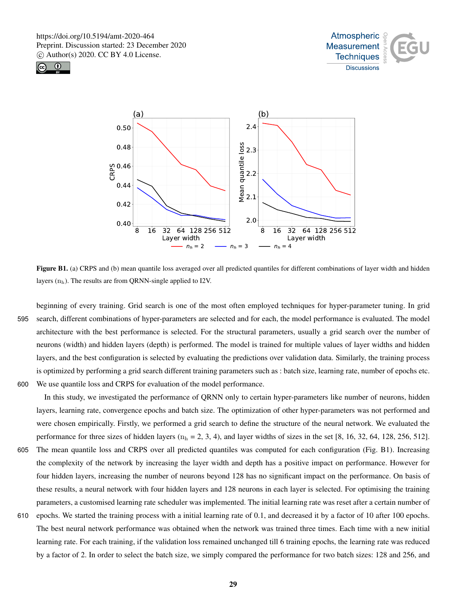





Figure B1. (a) CRPS and (b) mean quantile loss averaged over all predicted quantiles for different combinations of layer width and hidden layers  $(n_h)$ . The results are from QRNN-single applied to I2V.

beginning of every training. Grid search is one of the most often employed techniques for hyper-parameter tuning. In grid 595 search, different combinations of hyper-parameters are selected and for each, the model performance is evaluated. The model architecture with the best performance is selected. For the structural parameters, usually a grid search over the number of neurons (width) and hidden layers (depth) is performed. The model is trained for multiple values of layer widths and hidden layers, and the best configuration is selected by evaluating the predictions over validation data. Similarly, the training process is optimized by performing a grid search different training parameters such as : batch size, learning rate, number of epochs etc. 600 We use quantile loss and CRPS for evaluation of the model performance.

In this study, we investigated the performance of QRNN only to certain hyper-parameters like number of neurons, hidden layers, learning rate, convergence epochs and batch size. The optimization of other hyper-parameters was not performed and were chosen empirically. Firstly, we performed a grid search to define the structure of the neural network. We evaluated the performance for three sizes of hidden layers ( $n_h = 2, 3, 4$ ), and layer widths of sizes in the set [8, 16, 32, 64, 128, 256, 512].

- 605 The mean quantile loss and CRPS over all predicted quantiles was computed for each configuration (Fig. B1). Increasing the complexity of the network by increasing the layer width and depth has a positive impact on performance. However for four hidden layers, increasing the number of neurons beyond 128 has no significant impact on the performance. On basis of these results, a neural network with four hidden layers and 128 neurons in each layer is selected. For optimising the training parameters, a customised learning rate scheduler was implemented. The initial learning rate was reset after a certain number of
- 610 epochs. We started the training process with a initial learning rate of 0.1, and decreased it by a factor of 10 after 100 epochs. The best neural network performance was obtained when the network was trained three times. Each time with a new initial learning rate. For each training, if the validation loss remained unchanged till 6 training epochs, the learning rate was reduced by a factor of 2. In order to select the batch size, we simply compared the performance for two batch sizes: 128 and 256, and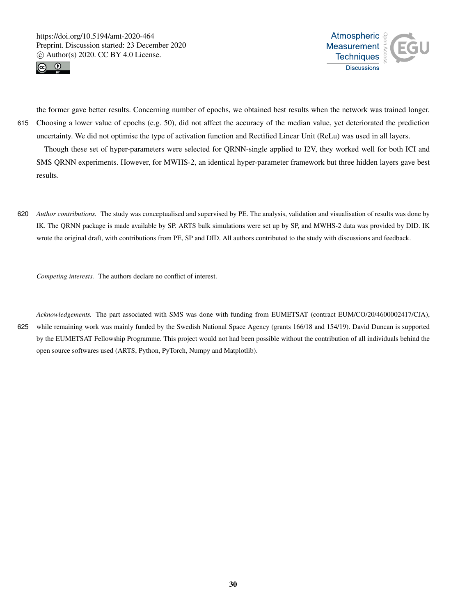



the former gave better results. Concerning number of epochs, we obtained best results when the network was trained longer. 615 Choosing a lower value of epochs (e.g. 50), did not affect the accuracy of the median value, yet deteriorated the prediction uncertainty. We did not optimise the type of activation function and Rectified Linear Unit (ReLu) was used in all layers.

Though these set of hyper-parameters were selected for QRNN-single applied to I2V, they worked well for both ICI and SMS QRNN experiments. However, for MWHS-2, an identical hyper-parameter framework but three hidden layers gave best results.

620 *Author contributions.* The study was conceptualised and supervised by PE. The analysis, validation and visualisation of results was done by IK. The QRNN package is made available by SP. ARTS bulk simulations were set up by SP, and MWHS-2 data was provided by DID. IK wrote the original draft, with contributions from PE, SP and DID. All authors contributed to the study with discussions and feedback.

*Competing interests.* The authors declare no conflict of interest.

*Acknowledgements.* The part associated with SMS was done with funding from EUMETSAT (contract EUM/CO/20/4600002417/CJA), 625 while remaining work was mainly funded by the Swedish National Space Agency (grants 166/18 and 154/19). David Duncan is supported by the EUMETSAT Fellowship Programme. This project would not had been possible without the contribution of all individuals behind the open source softwares used (ARTS, Python, PyTorch, Numpy and Matplotlib).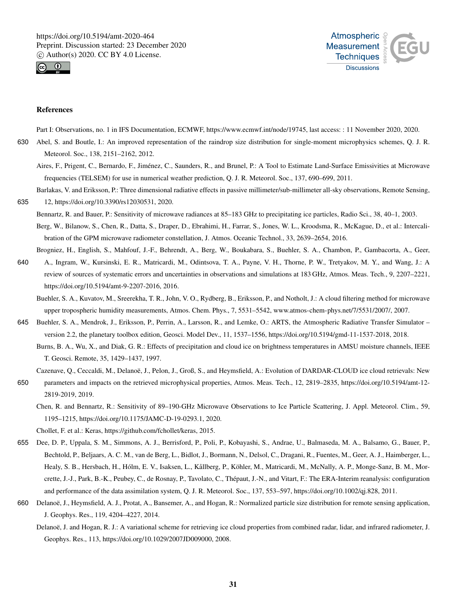



#### References

Part I: Observations, no. 1 in IFS Documentation, ECMWF, https://www.ecmwf.int/node/19745, last access: : 11 November 2020, 2020.

- 630 Abel, S. and Boutle, I.: An improved representation of the raindrop size distribution for single-moment microphysics schemes, Q. J. R. Meteorol. Soc., 138, 2151–2162, 2012.
	- Aires, F., Prigent, C., Bernardo, F., Jiménez, C., Saunders, R., and Brunel, P.: A Tool to Estimate Land-Surface Emissivities at Microwave frequencies (TELSEM) for use in numerical weather prediction, Q. J. R. Meteorol. Soc., 137, 690–699, 2011.
- Barlakas, V. and Eriksson, P.: Three dimensional radiative effects in passive millimeter/sub-millimeter all-sky observations, Remote Sensing, 635 12, https://doi.org/10.3390/rs12030531, 2020.
	- Bennartz, R. and Bauer, P.: Sensitivity of microwave radiances at 85–183 GHz to precipitating ice particles, Radio Sci., 38, 40–1, 2003.
	- Berg, W., Bilanow, S., Chen, R., Datta, S., Draper, D., Ebrahimi, H., Farrar, S., Jones, W. L., Kroodsma, R., McKague, D., et al.: Intercalibration of the GPM microwave radiometer constellation, J. Atmos. Oceanic Technol., 33, 2639–2654, 2016.

Brogniez, H., English, S., Mahfouf, J.-F., Behrendt, A., Berg, W., Boukabara, S., Buehler, S. A., Chambon, P., Gambacorta, A., Geer, 640 A., Ingram, W., Kursinski, E. R., Matricardi, M., Odintsova, T. A., Payne, V. H., Thorne, P. W., Tretyakov, M. Y., and Wang, J.: A

- review of sources of systematic errors and uncertainties in observations and simulations at 183 GHz, Atmos. Meas. Tech., 9, 2207–2221, https://doi.org/10.5194/amt-9-2207-2016, 2016.
	- Buehler, S. A., Kuvatov, M., Sreerekha, T. R., John, V. O., Rydberg, B., Eriksson, P., and Notholt, J.: A cloud filtering method for microwave upper tropospheric humidity measurements, Atmos. Chem. Phys., 7, 5531–5542, www.atmos-chem-phys.net/7/5531/2007/, 2007.
- 645 Buehler, S. A., Mendrok, J., Eriksson, P., Perrin, A., Larsson, R., and Lemke, O.: ARTS, the Atmospheric Radiative Transfer Simulator version 2.2, the planetary toolbox edition, Geosci. Model Dev., 11, 1537–1556, https://doi.org/10.5194/gmd-11-1537-2018, 2018.
	- Burns, B. A., Wu, X., and Diak, G. R.: Effects of precipitation and cloud ice on brightness temperatures in AMSU moisture channels, IEEE T. Geosci. Remote, 35, 1429–1437, 1997.
- Cazenave, Q., Ceccaldi, M., Delanoë, J., Pelon, J., Groß, S., and Heymsfield, A.: Evolution of DARDAR-CLOUD ice cloud retrievals: New
- 650 parameters and impacts on the retrieved microphysical properties, Atmos. Meas. Tech., 12, 2819–2835, https://doi.org/10.5194/amt-12- 2819-2019, 2019.
	- Chen, R. and Bennartz, R.: Sensitivity of 89–190-GHz Microwave Observations to Ice Particle Scattering, J. Appl. Meteorol. Clim., 59, 1195–1215, https://doi.org/10.1175/JAMC-D-19-0293.1, 2020.
	- Chollet, F. et al.: Keras, https://github.com/fchollet/keras, 2015.
- 655 Dee, D. P., Uppala, S. M., Simmons, A. J., Berrisford, P., Poli, P., Kobayashi, S., Andrae, U., Balmaseda, M. A., Balsamo, G., Bauer, P., Bechtold, P., Beljaars, A. C. M., van de Berg, L., Bidlot, J., Bormann, N., Delsol, C., Dragani, R., Fuentes, M., Geer, A. J., Haimberger, L., Healy, S. B., Hersbach, H., Hólm, E. V., Isaksen, L., Kållberg, P., Köhler, M., Matricardi, M., McNally, A. P., Monge-Sanz, B. M., Morcrette, J.-J., Park, B.-K., Peubey, C., de Rosnay, P., Tavolato, C., Thépaut, J.-N., and Vitart, F.: The ERA-Interim reanalysis: configuration and performance of the data assimilation system, Q. J. R. Meteorol. Soc., 137, 553–597, https://doi.org/10.1002/qj.828, 2011.
- 660 Delanoë, J., Heymsfield, A. J., Protat, A., Bansemer, A., and Hogan, R.: Normalized particle size distribution for remote sensing application, J. Geophys. Res., 119, 4204–4227, 2014.
	- Delanoë, J. and Hogan, R. J.: A variational scheme for retrieving ice cloud properties from combined radar, lidar, and infrared radiometer, J. Geophys. Res., 113, https://doi.org/10.1029/2007JD009000, 2008.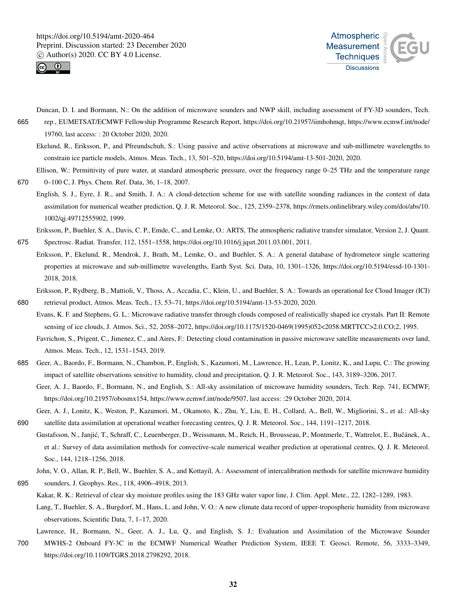1002/qj.49712555902, 1999.





- Duncan, D. I. and Bormann, N.: On the addition of microwave sounders and NWP skill, including assessment of FY-3D sounders, Tech. 665 rep., EUMETSAT/ECMWF Fellowship Programme Research Report, https://doi.org/10.21957/iimhohmqt, https://www.ecmwf.int/node/ 19760, last access: : 20 October 2020, 2020.
	- Ekelund, R., Eriksson, P., and Pfreundschuh, S.: Using passive and active observations at microwave and sub-millimetre wavelengths to constrain ice particle models, Atmos. Meas. Tech., 13, 501–520, https://doi.org/10.5194/amt-13-501-2020, 2020.

Ellison, W.: Permittivity of pure water, at standard atmospheric pressure, over the frequency range 0–25 THz and the temperature range 670 0–100 C, J. Phys. Chem. Ref. Data, 36, 1–18, 2007.

English, S. J., Eyre, J. R., and Smith, J. A.: A cloud-detection scheme for use with satellite sounding radiances in the context of data assimilation for numerical weather prediction, Q. J. R. Meteorol. Soc., 125, 2359–2378, https://rmets.onlinelibrary.wiley.com/doi/abs/10.

Eriksson, P., Buehler, S. A., Davis, C. P., Emde, C., and Lemke, O.: ARTS, The atmospheric radiative transfer simulator, Version 2, J. Quant. 675 Spectrosc. Radiat. Transfer, 112, 1551–1558, https://doi.org/10.1016/j.jqsrt.2011.03.001, 2011.

- Eriksson, P., Ekelund, R., Mendrok, J., Brath, M., Lemke, O., and Buehler, S. A.: A general database of hydrometeor single scattering properties at microwave and sub-millimetre wavelengths, Earth Syst. Sci. Data, 10, 1301–1326, https://doi.org/10.5194/essd-10-1301- 2018, 2018.
- Eriksson, P., Rydberg, B., Mattioli, V., Thoss, A., Accadia, C., Klein, U., and Buehler, S. A.: Towards an operational Ice Cloud Imager (ICI) 680 retrieval product, Atmos. Meas. Tech., 13, 53–71, https://doi.org/10.5194/amt-13-53-2020, 2020.
- Evans, K. F. and Stephens, G. L.: Microwave radiative transfer through clouds composed of realistically shaped ice crystals. Part II: Remote sensing of ice clouds, J. Atmos. Sci., 52, 2058–2072, https://doi.org/10.1175/1520-0469(1995)052<2058:MRTTCC>2.0.CO;2, 1995.
	- Favrichon, S., Prigent, C., Jimenez, C., and Aires, F.: Detecting cloud contamination in passive microwave satellite measurements over land, Atmos. Meas. Tech., 12, 1531–1543, 2019.
- 685 Geer, A., Baordo, F., Bormann, N., Chambon, P., English, S., Kazumori, M., Lawrence, H., Lean, P., Lonitz, K., and Lupu, C.: The growing impact of satellite observations sensitive to humidity, cloud and precipitation, Q. J. R. Meteorol. Soc., 143, 3189–3206, 2017.
	- Geer, A. J., Baordo, F., Bormann, N., and English, S.: All-sky assimilation of microwave humidity sounders, Tech. Rep. 741, ECMWF, https://doi.org/10.21957/obosmx154, https://www.ecmwf.int/node/9507, last access: :29 October 2020, 2014.
- Geer, A. J., Lonitz, K., Weston, P., Kazumori, M., Okamoto, K., Zhu, Y., Liu, E. H., Collard, A., Bell, W., Migliorini, S., et al.: All-sky 690 satellite data assimilation at operational weather forecasting centres, Q. J. R. Meteorol. Soc., 144, 1191–1217, 2018.
- Gustafsson, N., Janjić, T., Schraff, C., Leuenberger, D., Weissmann, M., Reich, H., Brousseau, P., Montmerle, T., Wattrelot, E., Bučánek, A., et al.: Survey of data assimilation methods for convective-scale numerical weather prediction at operational centres, Q. J. R. Meteorol. Soc., 144, 1218–1256, 2018.
- John, V. O., Allan, R. P., Bell, W., Buehler, S. A., and Kottayil, A.: Assessment of intercalibration methods for satellite microwave humidity 695 sounders, J. Geophys. Res., 118, 4906–4918, 2013.
	- Kakar, R. K.: Retrieval of clear sky moisture profiles using the 183 GHz water vapor line, J. Clim. Appl. Mete., 22, 1282–1289, 1983.
	- Lang, T., Buehler, S. A., Burgdorf, M., Hans, I., and John, V. O.: A new climate data record of upper-tropospheric humidity from microwave observations, Scientific Data, 7, 1–17, 2020.

Lawrence, H., Bormann, N., Geer, A. J., Lu, Q., and English, S. J.: Evaluation and Assimilation of the Microwave Sounder

700 MWHS-2 Onboard FY-3C in the ECMWF Numerical Weather Prediction System, IEEE T. Geosci. Remote, 56, 3333–3349, https://doi.org/10.1109/TGRS.2018.2798292, 2018.